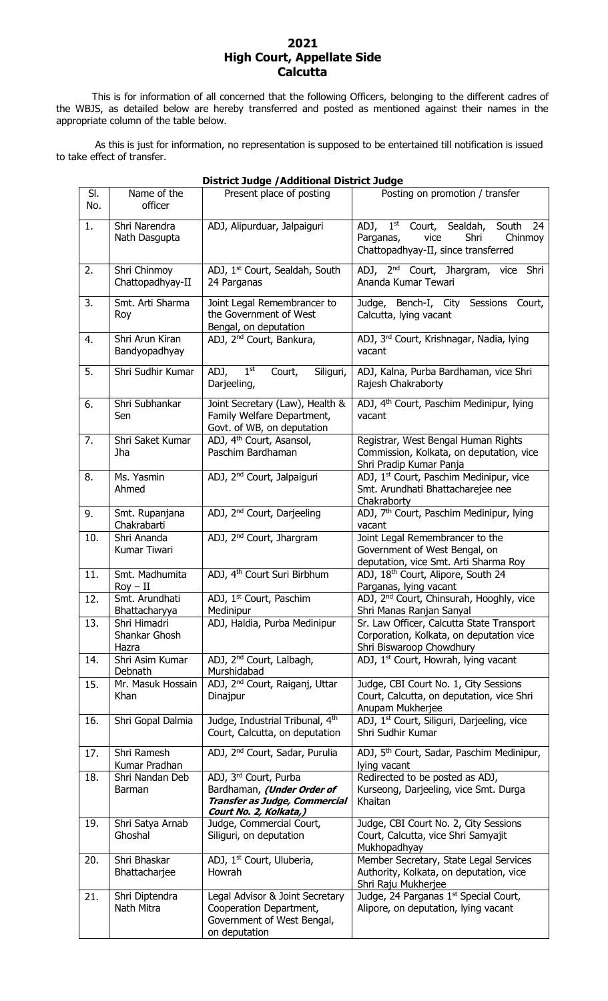#### **2021 High Court, Appellate Side Calcutta**

This is for information of all concerned that the following Officers, belonging to the different cadres of the WBJS, as detailed below are hereby transferred and posted as mentioned against their names in the appropriate column of the table below.

As this is just for information, no representation is supposed to be entertained till notification is issued to take effect of transfer.

|            | <b>District Judge / Additional District Judge</b> |                                                                                                                |                                                                                                                   |  |  |
|------------|---------------------------------------------------|----------------------------------------------------------------------------------------------------------------|-------------------------------------------------------------------------------------------------------------------|--|--|
| SI.<br>No. | Name of the<br>officer                            | Present place of posting                                                                                       | Posting on promotion / transfer                                                                                   |  |  |
| 1.         | Shri Narendra<br>Nath Dasgupta                    | ADJ, Alipurduar, Jalpaiguri                                                                                    | ADJ, 1st Court, Sealdah, South 24<br>vice<br>Shri<br>Chinmoy<br>Parganas,<br>Chattopadhyay-II, since transferred  |  |  |
| 2.         | Shri Chinmoy<br>Chattopadhyay-II                  | ADJ, 1st Court, Sealdah, South<br>24 Parganas                                                                  | ADJ, 2 <sup>nd</sup> Court, Jhargram, vice Shri<br>Ananda Kumar Tewari                                            |  |  |
| 3.         | Smt. Arti Sharma<br>Roy                           | Joint Legal Remembrancer to<br>the Government of West<br>Bengal, on deputation                                 | Judge, Bench-I, City Sessions Court,<br>Calcutta, lying vacant                                                    |  |  |
| 4.         | Shri Arun Kiran<br>Bandyopadhyay                  | ADJ, 2 <sup>nd</sup> Court, Bankura,                                                                           | ADJ, 3 <sup>rd</sup> Court, Krishnagar, Nadia, lying<br>vacant                                                    |  |  |
| 5.         | Shri Sudhir Kumar                                 | 1 <sup>st</sup><br>Siliguri,<br>ADJ,<br>Court,<br>Darjeeling,                                                  | ADJ, Kalna, Purba Bardhaman, vice Shri<br>Rajesh Chakraborty                                                      |  |  |
| 6.         | Shri Subhankar<br>Sen                             | Joint Secretary (Law), Health &<br>Family Welfare Department,<br>Govt. of WB, on deputation                    | ADJ, 4 <sup>th</sup> Court, Paschim Medinipur, lying<br>vacant                                                    |  |  |
| 7.         | Shri Saket Kumar<br>Jha                           | ADJ, 4 <sup>th</sup> Court, Asansol,<br>Paschim Bardhaman                                                      | Registrar, West Bengal Human Rights<br>Commission, Kolkata, on deputation, vice<br>Shri Pradip Kumar Panja        |  |  |
| 8.         | Ms. Yasmin<br>Ahmed                               | ADJ, 2 <sup>nd</sup> Court, Jalpaiguri                                                                         | ADJ, 1 <sup>st</sup> Court, Paschim Medinipur, vice<br>Smt. Arundhati Bhattacharejee nee<br>Chakraborty           |  |  |
| 9.         | Smt. Rupanjana<br>Chakrabarti                     | ADJ, 2 <sup>nd</sup> Court, Darjeeling                                                                         | ADJ, 7 <sup>th</sup> Court, Paschim Medinipur, lying<br>vacant                                                    |  |  |
| 10.        | Shri Ananda<br>Kumar Tiwari                       | ADJ, 2 <sup>nd</sup> Court, Jhargram                                                                           | Joint Legal Remembrancer to the<br>Government of West Bengal, on<br>deputation, vice Smt. Arti Sharma Roy         |  |  |
| 11.        | Smt. Madhumita<br>$Roy - II$                      | ADJ, 4 <sup>th</sup> Court Suri Birbhum                                                                        | ADJ, 18th Court, Alipore, South 24<br>Parganas, lying vacant                                                      |  |  |
| 12.        | Smt. Arundhati<br>Bhattacharyya                   | ADJ, 1 <sup>st</sup> Court, Paschim<br>Medinipur                                                               | ADJ, 2 <sup>nd</sup> Court, Chinsurah, Hooghly, vice<br>Shri Manas Ranjan Sanyal                                  |  |  |
| 13.        | Shri Himadri<br>Shankar Ghosh<br>Hazra            | ADJ, Haldia, Purba Medinipur                                                                                   | Sr. Law Officer, Calcutta State Transport<br>Corporation, Kolkata, on deputation vice<br>Shri Biswaroop Chowdhury |  |  |
| 14.        | Shri Asim Kumar<br>Debnath                        | ADJ, 2 <sup>nd</sup> Court, Lalbagh,<br>Murshidabad                                                            | ADJ, 1 <sup>st</sup> Court, Howrah, lying vacant                                                                  |  |  |
| 15.        | Mr. Masuk Hossain<br>Khan                         | ADJ, 2 <sup>nd</sup> Court, Raiganj, Uttar<br>Dinajpur                                                         | Judge, CBI Court No. 1, City Sessions<br>Court, Calcutta, on deputation, vice Shri<br>Anupam Mukherjee            |  |  |
| 16.        | Shri Gopal Dalmia                                 | Judge, Industrial Tribunal, 4th<br>Court, Calcutta, on deputation                                              | ADJ, 1 <sup>st</sup> Court, Siliguri, Darjeeling, vice<br>Shri Sudhir Kumar                                       |  |  |
| 17.        | Shri Ramesh<br>Kumar Pradhan                      | ADJ, 2 <sup>nd</sup> Court, Sadar, Purulia                                                                     | ADJ, 5 <sup>th</sup> Court, Sadar, Paschim Medinipur,<br>lying vacant                                             |  |  |
| 18.        | Shri Nandan Deb<br>Barman                         | ADJ, 3rd Court, Purba<br>Bardhaman, (Under Order of<br>Transfer as Judge, Commercial<br>Court No. 2, Kolkata,) | Redirected to be posted as ADJ,<br>Kurseong, Darjeeling, vice Smt. Durga<br>Khaitan                               |  |  |
| 19.        | Shri Satya Arnab<br>Ghoshal                       | Judge, Commercial Court,<br>Siliguri, on deputation                                                            | Judge, CBI Court No. 2, City Sessions<br>Court, Calcutta, vice Shri Samyajit<br>Mukhopadhyay                      |  |  |
| 20.        | Shri Bhaskar<br>Bhattacharjee                     | ADJ, 1 <sup>st</sup> Court, Uluberia,<br>Howrah                                                                | Member Secretary, State Legal Services<br>Authority, Kolkata, on deputation, vice<br>Shri Raju Mukherjee          |  |  |
| 21.        | Shri Diptendra<br>Nath Mitra                      | Legal Advisor & Joint Secretary<br>Cooperation Department,<br>Government of West Bengal,<br>on deputation      | Judge, 24 Parganas 1st Special Court,<br>Alipore, on deputation, lying vacant                                     |  |  |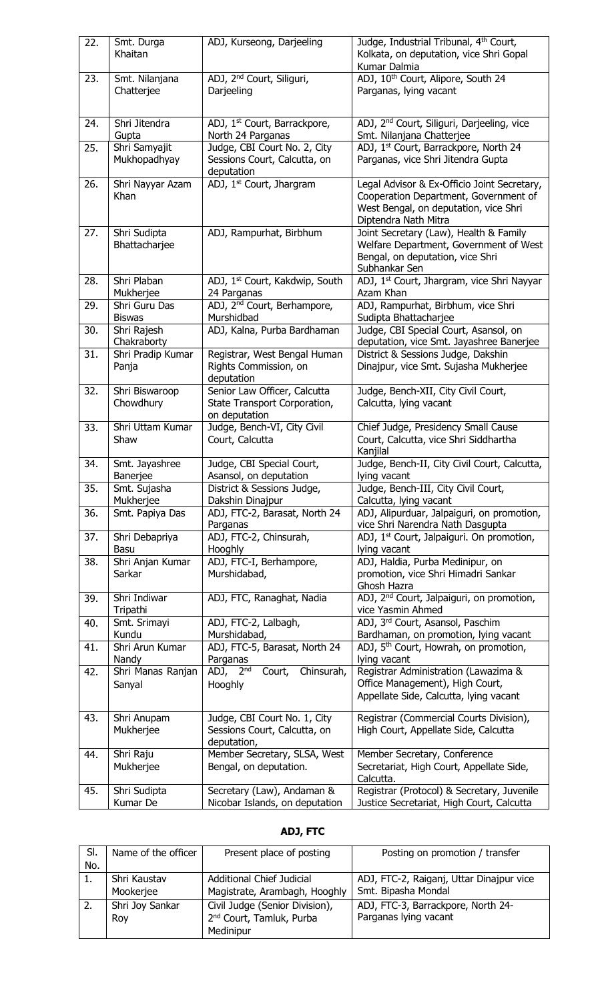| 22. | Smt. Durga<br>Khaitan          | ADJ, Kurseong, Darjeeling                                                     | Judge, Industrial Tribunal, 4 <sup>th</sup> Court,<br>Kolkata, on deputation, vice Shri Gopal<br>Kumar Dalmia                                         |
|-----|--------------------------------|-------------------------------------------------------------------------------|-------------------------------------------------------------------------------------------------------------------------------------------------------|
| 23. | Smt. Nilanjana<br>Chatterjee   | ADJ, 2 <sup>nd</sup> Court, Siliguri,<br>Darjeeling                           | ADJ, 10th Court, Alipore, South 24<br>Parganas, lying vacant                                                                                          |
| 24. | Shri Jitendra<br>Gupta         | ADJ, 1 <sup>st</sup> Court, Barrackpore,<br>North 24 Parganas                 | ADJ, 2 <sup>nd</sup> Court, Siliguri, Darjeeling, vice<br>Smt. Nilanjana Chatterjee                                                                   |
| 25. | Shri Samyajit<br>Mukhopadhyay  | Judge, CBI Court No. 2, City<br>Sessions Court, Calcutta, on<br>deputation    | ADJ, 1st Court, Barrackpore, North 24<br>Parganas, vice Shri Jitendra Gupta                                                                           |
| 26. | Shri Nayyar Azam<br>Khan       | ADJ, 1 <sup>st</sup> Court, Jhargram                                          | Legal Advisor & Ex-Officio Joint Secretary,<br>Cooperation Department, Government of<br>West Bengal, on deputation, vice Shri<br>Diptendra Nath Mitra |
| 27. | Shri Sudipta<br>Bhattacharjee  | ADJ, Rampurhat, Birbhum                                                       | Joint Secretary (Law), Health & Family<br>Welfare Department, Government of West<br>Bengal, on deputation, vice Shri<br>Subhankar Sen                 |
| 28. | Shri Plaban<br>Mukherjee       | ADJ, 1 <sup>st</sup> Court, Kakdwip, South<br>24 Parganas                     | ADJ, 1 <sup>st</sup> Court, Jhargram, vice Shri Nayyar<br>Azam Khan                                                                                   |
| 29. | Shri Guru Das<br><b>Biswas</b> | ADJ, 2 <sup>nd</sup> Court, Berhampore,<br>Murshidbad                         | ADJ, Rampurhat, Birbhum, vice Shri<br>Sudipta Bhattacharjee                                                                                           |
| 30. | Shri Rajesh<br>Chakraborty     | ADJ, Kalna, Purba Bardhaman                                                   | Judge, CBI Special Court, Asansol, on<br>deputation, vice Smt. Jayashree Banerjee                                                                     |
| 31. | Shri Pradip Kumar<br>Panja     | Registrar, West Bengal Human<br>Rights Commission, on<br>deputation           | District & Sessions Judge, Dakshin<br>Dinajpur, vice Smt. Sujasha Mukherjee                                                                           |
| 32. | Shri Biswaroop<br>Chowdhury    | Senior Law Officer, Calcutta<br>State Transport Corporation,<br>on deputation | Judge, Bench-XII, City Civil Court,<br>Calcutta, lying vacant                                                                                         |
| 33. | Shri Uttam Kumar<br>Shaw       | Judge, Bench-VI, City Civil<br>Court, Calcutta                                | Chief Judge, Presidency Small Cause<br>Court, Calcutta, vice Shri Siddhartha<br>Kanjilal                                                              |
|     |                                |                                                                               |                                                                                                                                                       |
| 34. | Smt. Jayashree<br>Banerjee     | Judge, CBI Special Court,<br>Asansol, on deputation                           | Judge, Bench-II, City Civil Court, Calcutta,<br>lying vacant                                                                                          |
| 35. | Smt. Sujasha<br>Mukherjee      | District & Sessions Judge,<br>Dakshin Dinajpur                                | Judge, Bench-III, City Civil Court,<br>Calcutta, lying vacant                                                                                         |
| 36. | Smt. Papiya Das                | ADJ, FTC-2, Barasat, North 24<br>Parganas                                     | ADJ, Alipurduar, Jalpaiguri, on promotion,<br>vice Shri Narendra Nath Dasgupta                                                                        |
| 37. | Shri Debapriya<br>Basu         | ADJ, FTC-2, Chinsurah,<br>Hooghly                                             | ADJ, 1 <sup>st</sup> Court, Jalpaiguri. On promotion,<br>lying vacant                                                                                 |
| 38. | Shri Anjan Kumar<br>Sarkar     | ADJ, FTC-I, Berhampore,<br>Murshidabad,                                       | ADJ, Haldia, Purba Medinipur, on<br>promotion, vice Shri Himadri Sankar<br>Ghosh Hazra                                                                |
| 39. | Shri Indiwar<br>Tripathi       | ADJ, FTC, Ranaghat, Nadia                                                     | ADJ, 2 <sup>nd</sup> Court, Jalpaiguri, on promotion,<br>vice Yasmin Ahmed                                                                            |
| 40. | Smt. Srimayi<br>Kundu          | ADJ, FTC-2, Lalbagh,<br>Murshidabad,                                          | ADJ, 3rd Court, Asansol, Paschim<br>Bardhaman, on promotion, lying vacant                                                                             |
| 41. | Shri Arun Kumar<br>Nandy       | ADJ, FTC-5, Barasat, North 24<br>Parganas                                     | ADJ, 5 <sup>th</sup> Court, Howrah, on promotion,<br>lying vacant                                                                                     |
| 42. | Shri Manas Ranjan<br>Sanyal    | ADJ, $2^{\overline{nd}}$<br>Court,<br>Chinsurah,<br>Hooghly                   | Registrar Administration (Lawazima &<br>Office Management), High Court,<br>Appellate Side, Calcutta, lying vacant                                     |
| 43. | Shri Anupam<br>Mukherjee       | Judge, CBI Court No. 1, City<br>Sessions Court, Calcutta, on<br>deputation,   | Registrar (Commercial Courts Division),<br>High Court, Appellate Side, Calcutta                                                                       |
| 44. | Shri Raju<br>Mukherjee         | Member Secretary, SLSA, West<br>Bengal, on deputation.                        | Member Secretary, Conference<br>Secretariat, High Court, Appellate Side,<br>Calcutta.                                                                 |

# **ADJ, FTC**

| SI. | Name of the officer | Present place of posting             | Posting on promotion / transfer          |
|-----|---------------------|--------------------------------------|------------------------------------------|
| No. |                     |                                      |                                          |
|     | Shri Kaustav        | Additional Chief Judicial            | ADJ, FTC-2, Raiganj, Uttar Dinajpur vice |
|     | Mookerjee           | Magistrate, Arambagh, Hooghly        | Smt. Bipasha Mondal                      |
| -2. | Shri Joy Sankar     | Civil Judge (Senior Division),       | ADJ, FTC-3, Barrackpore, North 24-       |
|     | Roy                 | 2 <sup>nd</sup> Court, Tamluk, Purba | Parganas lying vacant                    |
|     |                     | Medinipur                            |                                          |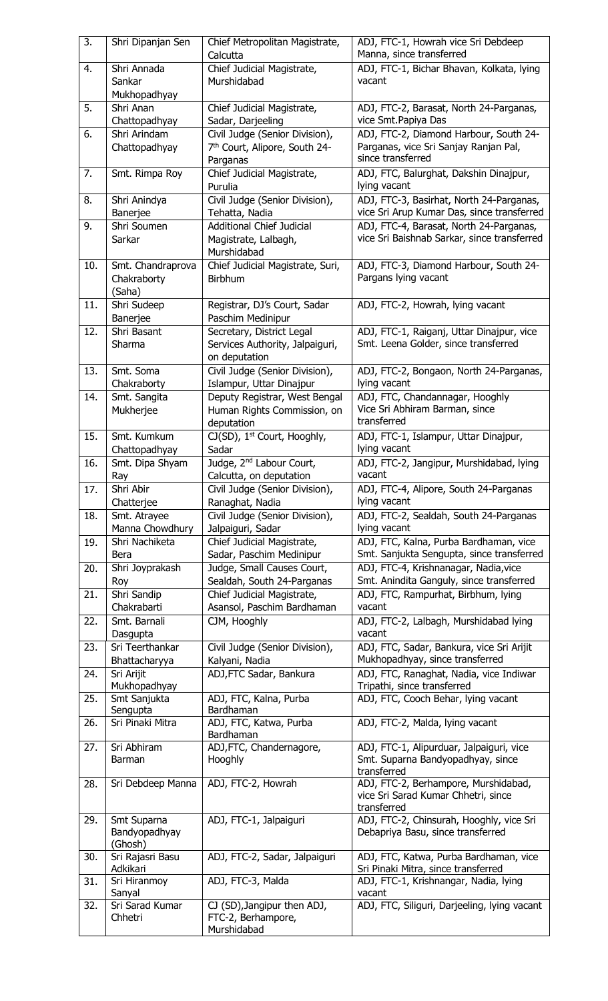| 3.  | Shri Dipanjan Sen                | Chief Metropolitan Magistrate,                               | ADJ, FTC-1, Howrah vice Sri Debdeep                                                    |
|-----|----------------------------------|--------------------------------------------------------------|----------------------------------------------------------------------------------------|
|     |                                  | Calcutta                                                     | Manna, since transferred                                                               |
| 4.  | Shri Annada<br>Sankar            | Chief Judicial Magistrate,<br>Murshidabad                    | ADJ, FTC-1, Bichar Bhavan, Kolkata, lying<br>vacant                                    |
|     | Mukhopadhyay                     |                                                              |                                                                                        |
| 5.  | Shri Anan                        | Chief Judicial Magistrate,                                   | ADJ, FTC-2, Barasat, North 24-Parganas,                                                |
|     | Chattopadhyay                    | Sadar, Darjeeling                                            | vice Smt. Papiya Das                                                                   |
| 6.  | Shri Arindam                     | Civil Judge (Senior Division),                               | ADJ, FTC-2, Diamond Harbour, South 24-                                                 |
|     | Chattopadhyay                    | 7 <sup>th</sup> Court, Alipore, South 24-                    | Parganas, vice Sri Sanjay Ranjan Pal,                                                  |
|     |                                  | Parganas                                                     | since transferred                                                                      |
| 7.  | Smt. Rimpa Roy                   | Chief Judicial Magistrate,                                   | ADJ, FTC, Balurghat, Dakshin Dinajpur,                                                 |
|     |                                  | Purulia                                                      | lying vacant                                                                           |
| 8.  | Shri Anindya                     | Civil Judge (Senior Division),                               | ADJ, FTC-3, Basirhat, North 24-Parganas,<br>vice Sri Arup Kumar Das, since transferred |
| 9.  | Banerjee<br>Shri Soumen          | Tehatta, Nadia<br><b>Additional Chief Judicial</b>           | ADJ, FTC-4, Barasat, North 24-Parganas,                                                |
|     | Sarkar                           | Magistrate, Lalbagh,                                         | vice Sri Baishnab Sarkar, since transferred                                            |
|     |                                  | Murshidabad                                                  |                                                                                        |
| 10. | Smt. Chandraprova                | Chief Judicial Magistrate, Suri,                             | ADJ, FTC-3, Diamond Harbour, South 24-                                                 |
|     | Chakraborty                      | Birbhum                                                      | Pargans lying vacant                                                                   |
|     | (Saha)                           |                                                              |                                                                                        |
| 11. | Shri Sudeep                      | Registrar, DJ's Court, Sadar                                 | ADJ, FTC-2, Howrah, lying vacant                                                       |
|     | Banerjee                         | Paschim Medinipur                                            |                                                                                        |
| 12. | Shri Basant<br>Sharma            | Secretary, District Legal<br>Services Authority, Jalpaiguri, | ADJ, FTC-1, Raiganj, Uttar Dinajpur, vice<br>Smt. Leena Golder, since transferred      |
|     |                                  | on deputation                                                |                                                                                        |
| 13. | Smt. Soma                        | Civil Judge (Senior Division),                               | ADJ, FTC-2, Bongaon, North 24-Parganas,                                                |
|     | Chakraborty                      | Islampur, Uttar Dinajpur                                     | lying vacant                                                                           |
| 14. | Smt. Sangita                     | Deputy Registrar, West Bengal                                | ADJ, FTC, Chandannagar, Hooghly                                                        |
|     | Mukherjee                        | Human Rights Commission, on                                  | Vice Sri Abhiram Barman, since                                                         |
|     |                                  | deputation                                                   | transferred                                                                            |
| 15. | Smt. Kumkum                      | CJ(SD), 1 <sup>st</sup> Court, Hooghly,                      | ADJ, FTC-1, Islampur, Uttar Dinajpur,                                                  |
| 16. | Chattopadhyay<br>Smt. Dipa Shyam | Sadar<br>Judge, 2 <sup>nd</sup> Labour Court,                | lying vacant<br>ADJ, FTC-2, Jangipur, Murshidabad, lying                               |
|     | Ray                              | Calcutta, on deputation                                      | vacant                                                                                 |
| 17. | Shri Abir                        | Civil Judge (Senior Division),                               | ADJ, FTC-4, Alipore, South 24-Parganas                                                 |
|     | Chatterjee                       | Ranaghat, Nadia                                              | lying vacant                                                                           |
| 18. | Smt. Atrayee                     | Civil Judge (Senior Division),                               | ADJ, FTC-2, Sealdah, South 24-Parganas                                                 |
|     | Manna Chowdhury                  | Jalpaiguri, Sadar                                            | lying vacant                                                                           |
| 19. | Shri Nachiketa                   | Chief Judicial Magistrate,<br>Sadar, Paschim Medinipur       | ADJ, FTC, Kalna, Purba Bardhaman, vice<br>Smt. Sanjukta Sengupta, since transferred    |
| 20. | Bera<br>Shri Joyprakash          | Judge, Small Causes Court,                                   | ADJ, FTC-4, Krishnanagar, Nadia, vice                                                  |
|     | Roy                              | Sealdah, South 24-Parganas                                   | Smt. Anindita Ganguly, since transferred                                               |
| 21. | Shri Sandip                      | Chief Judicial Magistrate,                                   | ADJ, FTC, Rampurhat, Birbhum, lying                                                    |
|     | Chakrabarti                      | Asansol, Paschim Bardhaman                                   | vacant                                                                                 |
| 22. | Smt. Barnali                     | CJM, Hooghly                                                 | ADJ, FTC-2, Lalbagh, Murshidabad lying                                                 |
|     | Dasgupta                         |                                                              | vacant                                                                                 |
| 23. | Sri Teerthankar                  | Civil Judge (Senior Division),                               | ADJ, FTC, Sadar, Bankura, vice Sri Arijit                                              |
|     | Bhattacharyya                    | Kalyani, Nadia                                               | Mukhopadhyay, since transferred                                                        |
| 24. | Sri Arijit<br>Mukhopadhyay       | ADJ, FTC Sadar, Bankura                                      | ADJ, FTC, Ranaghat, Nadia, vice Indiwar<br>Tripathi, since transferred                 |
| 25. | Smt Sanjukta                     | ADJ, FTC, Kalna, Purba                                       | ADJ, FTC, Cooch Behar, lying vacant                                                    |
|     | Sengupta                         | Bardhaman                                                    |                                                                                        |
| 26. | Sri Pinaki Mitra                 | ADJ, FTC, Katwa, Purba                                       | ADJ, FTC-2, Malda, lying vacant                                                        |
| 27. | Sri Abhiram                      | Bardhaman<br>ADJ, FTC, Chandernagore,                        | ADJ, FTC-1, Alipurduar, Jalpaiguri, vice                                               |
|     | Barman                           | Hooghly                                                      | Smt. Suparna Bandyopadhyay, since                                                      |
|     |                                  |                                                              | transferred                                                                            |
| 28. | Sri Debdeep Manna                | ADJ, FTC-2, Howrah                                           | ADJ, FTC-2, Berhampore, Murshidabad,                                                   |
|     |                                  |                                                              | vice Sri Sarad Kumar Chhetri, since                                                    |
| 29. | Smt Suparna                      | ADJ, FTC-1, Jalpaiguri                                       | transferred<br>ADJ, FTC-2, Chinsurah, Hooghly, vice Sri                                |
|     | Bandyopadhyay                    |                                                              | Debapriya Basu, since transferred                                                      |
|     | (Ghosh)                          |                                                              |                                                                                        |
| 30. | Sri Rajasri Basu                 | ADJ, FTC-2, Sadar, Jalpaiguri                                | ADJ, FTC, Katwa, Purba Bardhaman, vice                                                 |
|     | Adkikari                         |                                                              | Sri Pinaki Mitra, since transferred                                                    |
| 31. | Sri Hiranmoy<br>Sanyal           | ADJ, FTC-3, Malda                                            | ADJ, FTC-1, Krishnangar, Nadia, lying<br>vacant                                        |
| 32. | Sri Sarad Kumar                  | CJ (SD), Jangipur then ADJ,                                  | ADJ, FTC, Siliguri, Darjeeling, lying vacant                                           |
|     | Chhetri                          | FTC-2, Berhampore,                                           |                                                                                        |
|     |                                  | Murshidabad                                                  |                                                                                        |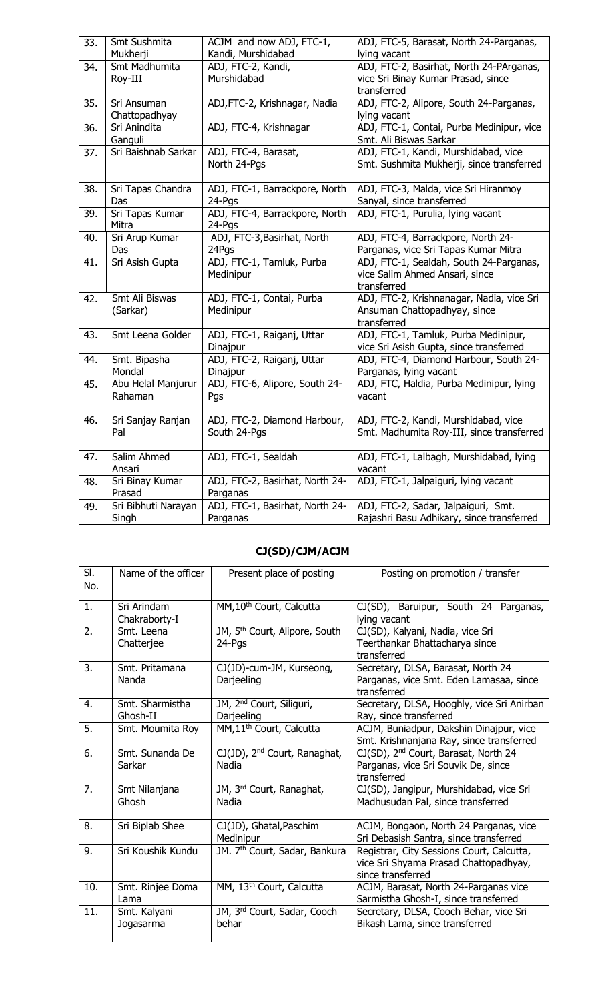| 33. | Smt Sushmita        | ACJM and now ADJ, FTC-1,        | ADJ, FTC-5, Barasat, North 24-Parganas,   |
|-----|---------------------|---------------------------------|-------------------------------------------|
|     | Mukherji            | Kandi, Murshidabad              | lying vacant                              |
| 34. | Smt Madhumita       | ADJ, FTC-2, Kandi,              | ADJ, FTC-2, Basirhat, North 24-PArganas,  |
|     | Roy-III             | Murshidabad                     | vice Sri Binay Kumar Prasad, since        |
|     |                     |                                 | transferred                               |
| 35. | Sri Ansuman         | ADJ, FTC-2, Krishnagar, Nadia   | ADJ, FTC-2, Alipore, South 24-Parganas,   |
|     | Chattopadhyay       |                                 | lying vacant                              |
| 36. | Sri Anindita        | ADJ, FTC-4, Krishnagar          | ADJ, FTC-1, Contai, Purba Medinipur, vice |
|     | Ganguli             |                                 | Smt. Ali Biswas Sarkar                    |
| 37. | Sri Baishnab Sarkar | ADJ, FTC-4, Barasat,            | ADJ, FTC-1, Kandi, Murshidabad, vice      |
|     |                     | North 24-Pgs                    | Smt. Sushmita Mukherji, since transferred |
|     |                     |                                 |                                           |
| 38. | Sri Tapas Chandra   | ADJ, FTC-1, Barrackpore, North  | ADJ, FTC-3, Malda, vice Sri Hiranmoy      |
|     | Das                 | 24-Pgs                          | Sanyal, since transferred                 |
| 39. | Sri Tapas Kumar     | ADJ, FTC-4, Barrackpore, North  | ADJ, FTC-1, Purulia, lying vacant         |
|     | Mitra               | 24-Pgs                          |                                           |
| 40. | Sri Arup Kumar      | ADJ, FTC-3, Basirhat, North     | ADJ, FTC-4, Barrackpore, North 24-        |
|     | Das                 | 24Pgs                           | Parganas, vice Sri Tapas Kumar Mitra      |
| 41. | Sri Asish Gupta     | ADJ, FTC-1, Tamluk, Purba       | ADJ, FTC-1, Sealdah, South 24-Parganas,   |
|     |                     | Medinipur                       | vice Salim Ahmed Ansari, since            |
|     |                     |                                 | transferred                               |
| 42. | Smt Ali Biswas      | ADJ, FTC-1, Contai, Purba       | ADJ, FTC-2, Krishnanagar, Nadia, vice Sri |
|     | (Sarkar)            | Medinipur                       | Ansuman Chattopadhyay, since              |
|     |                     |                                 | transferred                               |
| 43. | Smt Leena Golder    | ADJ, FTC-1, Raiganj, Uttar      | ADJ, FTC-1, Tamluk, Purba Medinipur,      |
|     |                     | Dinajpur                        | vice Sri Asish Gupta, since transferred   |
| 44. | Smt. Bipasha        | ADJ, FTC-2, Raiganj, Uttar      | ADJ, FTC-4, Diamond Harbour, South 24-    |
|     | Mondal              | Dinajpur                        | Parganas, lying vacant                    |
| 45. | Abu Helal Manjurur  | ADJ, FTC-6, Alipore, South 24-  | ADJ, FTC, Haldia, Purba Medinipur, lying  |
|     | Rahaman             | Pqs                             | vacant                                    |
|     |                     |                                 |                                           |
| 46. | Sri Sanjay Ranjan   | ADJ, FTC-2, Diamond Harbour,    | ADJ, FTC-2, Kandi, Murshidabad, vice      |
|     | Pal                 | South 24-Pgs                    | Smt. Madhumita Roy-III, since transferred |
|     |                     |                                 |                                           |
| 47. | Salim Ahmed         | ADJ, FTC-1, Sealdah             | ADJ, FTC-1, Lalbagh, Murshidabad, lying   |
|     | Ansari              |                                 | vacant                                    |
| 48. | Sri Binay Kumar     | ADJ, FTC-2, Basirhat, North 24- | ADJ, FTC-1, Jalpaiguri, lying vacant      |
|     | Prasad              | Parganas                        |                                           |
| 49. | Sri Bibhuti Narayan | ADJ, FTC-1, Basirhat, North 24- | ADJ, FTC-2, Sadar, Jalpaiguri, Smt.       |
|     | Singh               | Parganas                        | Rajashri Basu Adhikary, since transferred |

### **CJ(SD)/CJM/ACJM**

| SI.<br>No. | Name of the officer          | Present place of posting                            | Posting on promotion / transfer                                                                         |
|------------|------------------------------|-----------------------------------------------------|---------------------------------------------------------------------------------------------------------|
| 1.         | Sri Arindam<br>Chakraborty-I | MM, 10 <sup>th</sup> Court, Calcutta                | CJ(SD), Baruipur, South 24 Parganas,<br>lying vacant                                                    |
| 2.         | Smt. Leena<br>Chatterjee     | JM, 5 <sup>th</sup> Court, Alipore, South<br>24-Pgs | CJ(SD), Kalyani, Nadia, vice Sri<br>Teerthankar Bhattacharya since<br>transferred                       |
| 3.         | Smt. Pritamana<br>Nanda      | CJ(JD)-cum-JM, Kurseong,<br>Darjeeling              | Secretary, DLSA, Barasat, North 24<br>Parganas, vice Smt. Eden Lamasaa, since<br>transferred            |
| 4.         | Smt. Sharmistha<br>Ghosh-II  | JM, 2 <sup>nd</sup> Court, Siliguri,<br>Darjeeling  | Secretary, DLSA, Hooghly, vice Sri Anirban<br>Ray, since transferred                                    |
| 5.         | Smt. Moumita Roy             | MM,11 <sup>th</sup> Court, Calcutta                 | ACJM, Buniadpur, Dakshin Dinajpur, vice<br>Smt. Krishnanjana Ray, since transferred                     |
| 6.         | Smt. Sunanda De<br>Sarkar    | CJ(JD), 2 <sup>nd</sup> Court, Ranaghat,<br>Nadia   | CJ(SD), 2 <sup>nd</sup> Court, Barasat, North 24<br>Parganas, vice Sri Souvik De, since<br>transferred  |
| 7.         | Smt Nilanjana<br>Ghosh       | JM, 3rd Court, Ranaghat,<br>Nadia                   | CJ(SD), Jangipur, Murshidabad, vice Sri<br>Madhusudan Pal, since transferred                            |
| 8.         | Sri Biplab Shee              | CJ(JD), Ghatal, Paschim<br>Medinipur                | ACJM, Bongaon, North 24 Parganas, vice<br>Sri Debasish Santra, since transferred                        |
| 9.         | Sri Koushik Kundu            | JM. 7 <sup>th</sup> Court, Sadar, Bankura           | Registrar, City Sessions Court, Calcutta,<br>vice Sri Shyama Prasad Chattopadhyay,<br>since transferred |
| 10.        | Smt. Rinjee Doma<br>Lama     | MM, 13 <sup>th</sup> Court, Calcutta                | ACJM, Barasat, North 24-Parganas vice<br>Sarmistha Ghosh-I, since transferred                           |
| 11.        | Smt. Kalyani<br>Jogasarma    | JM, 3rd Court, Sadar, Cooch<br>behar                | Secretary, DLSA, Cooch Behar, vice Sri<br>Bikash Lama, since transferred                                |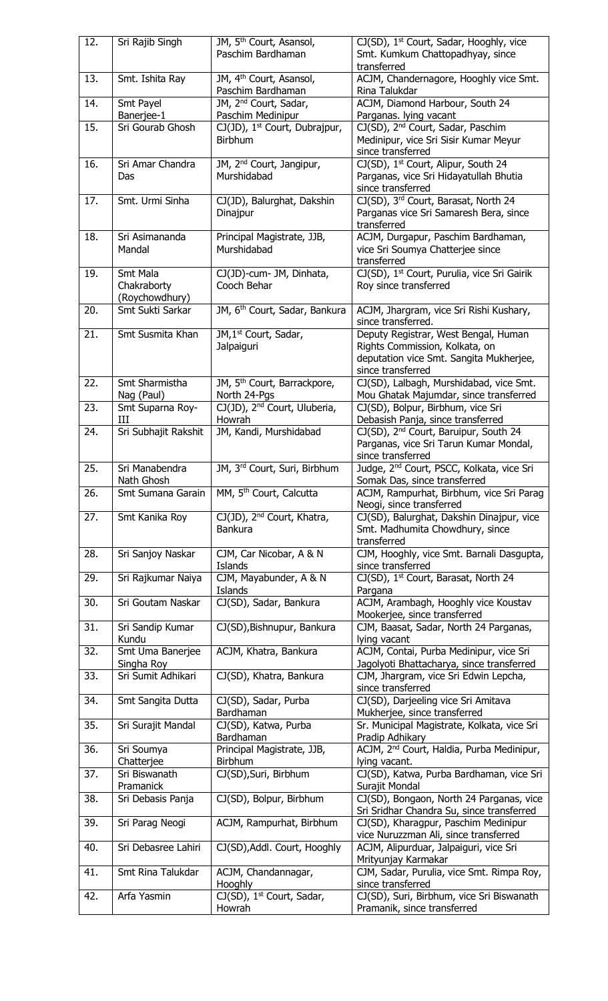| 12. | Sri Rajib Singh                  | JM, 5 <sup>th</sup> Court, Asansol,                      | CJ(SD), 1 <sup>st</sup> Court, Sadar, Hooghly, vice                                       |
|-----|----------------------------------|----------------------------------------------------------|-------------------------------------------------------------------------------------------|
|     |                                  | Paschim Bardhaman                                        | Smt. Kumkum Chattopadhyay, since<br>transferred                                           |
| 13. | Smt. Ishita Ray                  | JM, 4 <sup>th</sup> Court, Asansol,                      | ACJM, Chandernagore, Hooghly vice Smt.                                                    |
|     |                                  | Paschim Bardhaman                                        | Rina Talukdar                                                                             |
| 14. | Smt Payel<br>Banerjee-1          | JM, 2 <sup>nd</sup> Court, Sadar,<br>Paschim Medinipur   | ACJM, Diamond Harbour, South 24<br>Parganas. lying vacant                                 |
| 15. | Sri Gourab Ghosh                 | CJ(JD), 1 <sup>st</sup> Court, Dubrajpur,                | CJ(SD), 2 <sup>nd</sup> Court, Sadar, Paschim                                             |
|     |                                  | <b>Birbhum</b>                                           | Medinipur, vice Sri Sisir Kumar Meyur                                                     |
|     |                                  |                                                          | since transferred                                                                         |
| 16. | Sri Amar Chandra<br>Das          | JM, 2 <sup>nd</sup> Court, Jangipur,<br>Murshidabad      | CJ(SD), 1 <sup>st</sup> Court, Alipur, South 24<br>Parganas, vice Sri Hidayatullah Bhutia |
|     |                                  |                                                          | since transferred                                                                         |
| 17. | Smt. Urmi Sinha                  | CJ(JD), Balurghat, Dakshin                               | CJ(SD), 3rd Court, Barasat, North 24                                                      |
|     |                                  | Dinajpur                                                 | Parganas vice Sri Samaresh Bera, since<br>transferred                                     |
| 18. | Sri Asimananda                   | Principal Magistrate, JJB,                               | ACJM, Durgapur, Paschim Bardhaman,                                                        |
|     | Mandal                           | Murshidabad                                              | vice Sri Soumya Chatterjee since                                                          |
| 19. | Smt Mala                         | CJ(JD)-cum- JM, Dinhata,                                 | transferred<br>CJ(SD), 1 <sup>st</sup> Court, Purulia, vice Sri Gairik                    |
|     | Chakraborty                      | Cooch Behar                                              | Roy since transferred                                                                     |
|     | (Roychowdhury)                   |                                                          |                                                                                           |
| 20. | Smt Sukti Sarkar                 | JM, 6 <sup>th</sup> Court, Sadar, Bankura                | ACJM, Jhargram, vice Sri Rishi Kushary,<br>since transferred.                             |
| 21. | Smt Susmita Khan                 | JM, 1 <sup>st</sup> Court, Sadar,                        | Deputy Registrar, West Bengal, Human                                                      |
|     |                                  | Jalpaiguri                                               | Rights Commission, Kolkata, on                                                            |
|     |                                  |                                                          | deputation vice Smt. Sangita Mukherjee,                                                   |
| 22. | Smt Sharmistha                   | JM, 5 <sup>th</sup> Court, Barrackpore,                  | since transferred<br>CJ(SD), Lalbagh, Murshidabad, vice Smt.                              |
|     | Nag (Paul)                       | North 24-Pgs                                             | Mou Ghatak Majumdar, since transferred                                                    |
| 23. | Smt Suparna Roy-                 | CJ(JD), 2 <sup>nd</sup> Court, Uluberia,                 | CJ(SD), Bolpur, Birbhum, vice Sri                                                         |
| 24. | Ш<br>Sri Subhajit Rakshit        | Howrah<br>JM, Kandi, Murshidabad                         | Debasish Panja, since transferred<br>CJ(SD), 2 <sup>nd</sup> Court, Baruipur, South 24    |
|     |                                  |                                                          | Parganas, vice Sri Tarun Kumar Mondal,                                                    |
|     |                                  |                                                          | since transferred                                                                         |
| 25. | Sri Manabendra<br>Nath Ghosh     | JM, 3rd Court, Suri, Birbhum                             | Judge, 2 <sup>nd</sup> Court, PSCC, Kolkata, vice Sri<br>Somak Das, since transferred     |
| 26. | Smt Sumana Garain                | MM, 5 <sup>th</sup> Court, Calcutta                      | ACJM, Rampurhat, Birbhum, vice Sri Parag                                                  |
|     |                                  |                                                          | Neogi, since transferred                                                                  |
| 27. | Smt Kanika Roy                   | CJ(JD), 2 <sup>nd</sup> Court, Khatra,<br><b>Bankura</b> | CJ(SD), Balurghat, Dakshin Dinajpur, vice<br>Smt. Madhumita Chowdhury, since              |
|     |                                  |                                                          | transferred                                                                               |
| 28. | Sri Sanjoy Naskar                | CJM, Car Nicobar, A & N                                  | CJM, Hooghly, vice Smt. Barnali Dasgupta,                                                 |
| 29. | Sri Rajkumar Naiya               | Islands<br>CJM, Mayabunder, A & N                        | since transferred<br>CJ(SD), 1 <sup>st</sup> Court, Barasat, North 24                     |
|     |                                  | Islands                                                  | Pargana                                                                                   |
| 30. | Sri Goutam Naskar                | CJ(SD), Sadar, Bankura                                   | ACJM, Arambagh, Hooghly vice Koustav                                                      |
| 31. | Sri Sandip Kumar                 | CJ(SD), Bishnupur, Bankura                               | Mookerjee, since transferred<br>CJM, Baasat, Sadar, North 24 Parganas,                    |
|     | Kundu                            |                                                          | lying vacant                                                                              |
| 32. | Smt Uma Banerjee                 | ACJM, Khatra, Bankura                                    | ACJM, Contai, Purba Medinipur, vice Sri                                                   |
| 33. | Singha Roy<br>Sri Sumit Adhikari | CJ(SD), Khatra, Bankura                                  | Jagolyoti Bhattacharya, since transferred<br>CJM, Jhargram, vice Sri Edwin Lepcha,        |
|     |                                  |                                                          | since transferred                                                                         |
| 34. | Smt Sangita Dutta                | CJ(SD), Sadar, Purba                                     | CJ(SD), Darjeeling vice Sri Amitava                                                       |
| 35. | Sri Surajit Mandal               | Bardhaman                                                | Mukherjee, since transferred                                                              |
|     |                                  | CJ(SD), Katwa, Purba<br>Bardhaman                        | Sr. Municipal Magistrate, Kolkata, vice Sri<br>Pradip Adhikary                            |
| 36. | Sri Soumya                       | Principal Magistrate, JJB,                               | ACJM, 2 <sup>nd</sup> Court, Haldia, Purba Medinipur,                                     |
| 37. | Chatterjee<br>Sri Biswanath      | Birbhum                                                  | lying vacant.<br>CJ(SD), Katwa, Purba Bardhaman, vice Sri                                 |
|     | Pramanick                        | CJ(SD), Suri, Birbhum                                    | Surajit Mondal                                                                            |
| 38. | Sri Debasis Panja                | CJ(SD), Bolpur, Birbhum                                  | CJ(SD), Bongaon, North 24 Parganas, vice                                                  |
|     |                                  |                                                          | Sri Sridhar Chandra Su, since transferred                                                 |
| 39. | Sri Parag Neogi                  | ACJM, Rampurhat, Birbhum                                 | CJ(SD), Kharagpur, Paschim Medinipur<br>vice Nuruzzman Ali, since transferred             |
| 40. | Sri Debasree Lahiri              | CJ(SD), Addl. Court, Hooghly                             | ACJM, Alipurduar, Jalpaiguri, vice Sri                                                    |
|     |                                  |                                                          | Mrityunjay Karmakar                                                                       |
| 41. | Smt Rina Talukdar                | ACJM, Chandannagar,<br>Hooghly                           | CJM, Sadar, Purulia, vice Smt. Rimpa Roy,<br>since transferred                            |
| 42. | Arfa Yasmin                      | CJ(SD), 1 <sup>st</sup> Court, Sadar,                    | CJ(SD), Suri, Birbhum, vice Sri Biswanath                                                 |
|     |                                  | Howrah                                                   | Pramanik, since transferred                                                               |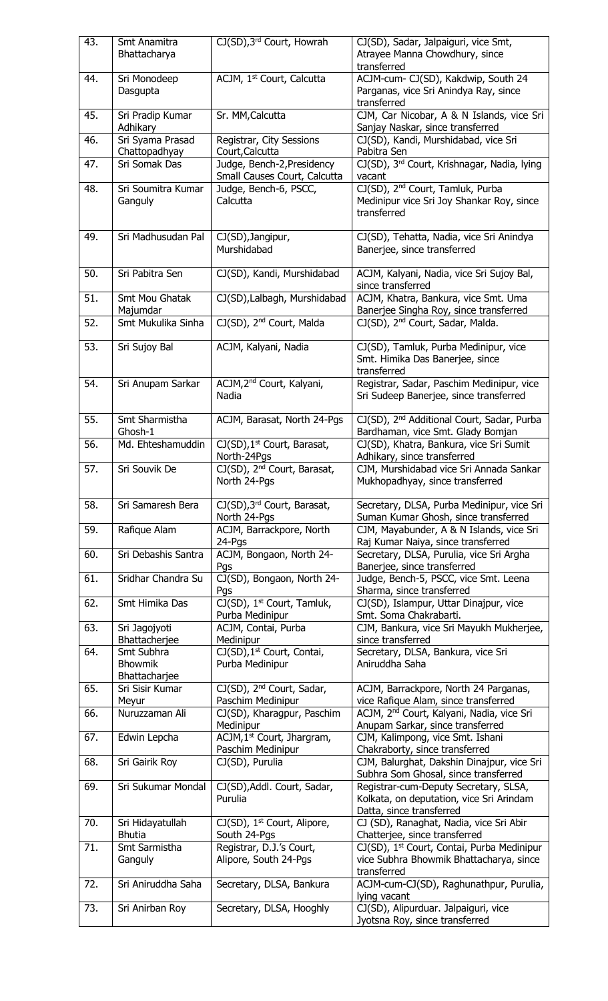| 43. | Smt Anamitra                    | CJ(SD), 3 <sup>rd</sup> Court, Howrah   | CJ(SD), Sadar, Jalpaiguri, vice Smt,                   |
|-----|---------------------------------|-----------------------------------------|--------------------------------------------------------|
|     | Bhattacharya                    |                                         | Atrayee Manna Chowdhury, since                         |
|     |                                 |                                         | transferred                                            |
| 44. | Sri Monodeep                    | ACJM, 1st Court, Calcutta               | ACJM-cum- CJ(SD), Kakdwip, South 24                    |
|     | Dasgupta                        |                                         | Parganas, vice Sri Anindya Ray, since                  |
|     |                                 |                                         | transferred                                            |
| 45. | Sri Pradip Kumar                | Sr. MM, Calcutta                        | CJM, Car Nicobar, A & N Islands, vice Sri              |
|     | Adhikary                        |                                         | Sanjay Naskar, since transferred                       |
| 46. | Sri Syama Prasad                | Registrar, City Sessions                | CJ(SD), Kandi, Murshidabad, vice Sri                   |
|     | Chattopadhyay                   | Court, Calcutta                         | Pabitra Sen                                            |
| 47. | Sri Somak Das                   | Judge, Bench-2, Presidency              | CJ(SD), 3rd Court, Krishnagar, Nadia, lying            |
|     |                                 | Small Causes Court, Calcutta            | vacant                                                 |
| 48. | Sri Soumitra Kumar              | Judge, Bench-6, PSCC,                   | CJ(SD), 2 <sup>nd</sup> Court, Tamluk, Purba           |
|     | Ganguly                         | Calcutta                                | Medinipur vice Sri Joy Shankar Roy, since              |
|     |                                 |                                         | transferred                                            |
|     |                                 |                                         |                                                        |
| 49. | Sri Madhusudan Pal              | CJ(SD), Jangipur,                       | CJ(SD), Tehatta, Nadia, vice Sri Anindya               |
|     |                                 | Murshidabad                             | Banerjee, since transferred                            |
|     |                                 |                                         |                                                        |
| 50. | Sri Pabitra Sen                 | CJ(SD), Kandi, Murshidabad              | ACJM, Kalyani, Nadia, vice Sri Sujoy Bal,              |
|     |                                 |                                         | since transferred                                      |
| 51. | Smt Mou Ghatak                  | CJ(SD), Lalbagh, Murshidabad            | ACJM, Khatra, Bankura, vice Smt. Uma                   |
|     | Majumdar                        |                                         | Banerjee Singha Roy, since transferred                 |
| 52. | Smt Mukulika Sinha              | CJ(SD), 2 <sup>nd</sup> Court, Malda    | CJ(SD), 2 <sup>nd</sup> Court, Sadar, Malda.           |
|     |                                 |                                         |                                                        |
| 53. | Sri Sujoy Bal                   | ACJM, Kalyani, Nadia                    | CJ(SD), Tamluk, Purba Medinipur, vice                  |
|     |                                 |                                         | Smt. Himika Das Banerjee, since<br>transferred         |
| 54. | Sri Anupam Sarkar               | ACJM, 2 <sup>nd</sup> Court, Kalyani,   | Registrar, Sadar, Paschim Medinipur, vice              |
|     |                                 | Nadia                                   | Sri Sudeep Banerjee, since transferred                 |
|     |                                 |                                         |                                                        |
| 55. | Smt Sharmistha                  | ACJM, Barasat, North 24-Pgs             | CJ(SD), 2 <sup>nd</sup> Additional Court, Sadar, Purba |
|     | Ghosh-1                         |                                         | Bardhaman, vice Smt. Glady Bomjan                      |
| 56. | Md. Ehteshamuddin               | CJ(SD), 1 <sup>st</sup> Court, Barasat, | CJ(SD), Khatra, Bankura, vice Sri Sumit                |
|     |                                 | North-24Pgs                             | Adhikary, since transferred                            |
| 57. | Sri Souvik De                   | CJ(SD), 2 <sup>nd</sup> Court, Barasat, | CJM, Murshidabad vice Sri Annada Sankar                |
|     |                                 | North 24-Pgs                            | Mukhopadhyay, since transferred                        |
|     |                                 |                                         |                                                        |
| 58. | Sri Samaresh Bera               | CJ(SD), 3rd Court, Barasat,             | Secretary, DLSA, Purba Medinipur, vice Sri             |
|     |                                 | North 24-Pgs                            | Suman Kumar Ghosh, since transferred                   |
| 59. | Rafique Alam                    | ACJM, Barrackpore, North                | CJM, Mayabunder, A & N Islands, vice Sri               |
|     |                                 | 24-Pgs                                  | Raj Kumar Naiya, since transferred                     |
| 60. | Sri Debashis Santra             | ACJM, Bongaon, North 24-                | Secretary, DLSA, Purulia, vice Sri Argha               |
|     |                                 | Pgs                                     | Banerjee, since transferred                            |
| 61. | Sridhar Chandra Su              | CJ(SD), Bongaon, North 24-              | Judge, Bench-5, PSCC, vice Smt. Leena                  |
|     |                                 | Pgs                                     | Sharma, since transferred                              |
| 62. | Smt Himika Das                  | CJ(SD), 1 <sup>st</sup> Court, Tamluk,  | CJ(SD), Islampur, Uttar Dinajpur, vice                 |
|     |                                 | Purba Medinipur                         | Smt. Soma Chakrabarti.                                 |
| 63. | Sri Jagojyoti                   | ACJM, Contai, Purba                     | CJM, Bankura, vice Sri Mayukh Mukherjee,               |
|     | Bhattacherjee                   | Medinipur                               | since transferred                                      |
| 64. | Smt Subhra                      | CJ(SD), 1 <sup>st</sup> Court, Contai,  | Secretary, DLSA, Bankura, vice Sri                     |
|     | <b>Bhowmik</b><br>Bhattacharjee | Purba Medinipur                         | Aniruddha Saha                                         |
| 65. | Sri Sisir Kumar                 | CJ(SD), 2 <sup>nd</sup> Court, Sadar,   | ACJM, Barrackpore, North 24 Parganas,                  |
|     | Meyur                           | Paschim Medinipur                       | vice Rafique Alam, since transferred                   |
| 66. | Nuruzzaman Ali                  | CJ(SD), Kharagpur, Paschim              | ACJM, 2 <sup>nd</sup> Court, Kalyani, Nadia, vice Sri  |
|     |                                 | Medinipur                               | Anupam Sarkar, since transferred                       |
| 67. | Edwin Lepcha                    | ACJM, 1 <sup>st</sup> Court, Jhargram,  | CJM, Kalimpong, vice Smt. Ishani                       |
|     |                                 | Paschim Medinipur                       | Chakraborty, since transferred                         |
| 68. | Sri Gairik Roy                  | CJ(SD), Purulia                         | CJM, Balurghat, Dakshin Dinajpur, vice Sri             |
|     |                                 |                                         | Subhra Som Ghosal, since transferred                   |
| 69. | Sri Sukumar Mondal              | CJ(SD), Addl. Court, Sadar,             | Registrar-cum-Deputy Secretary, SLSA,                  |
|     |                                 | Purulia                                 | Kolkata, on deputation, vice Sri Arindam               |
|     |                                 |                                         | Datta, since transferred                               |
| 70. | Sri Hidayatullah                | CJ(SD), 1 <sup>st</sup> Court, Alipore, | CJ (SD), Ranaghat, Nadia, vice Sri Abir                |
|     | <b>Bhutia</b>                   | South 24-Pgs                            | Chatterjee, since transferred                          |
| 71. | Smt Sarmistha                   | Registrar, D.J.'s Court,                | CJ(SD), 1 <sup>st</sup> Court, Contai, Purba Medinipur |
|     | Ganguly                         | Alipore, South 24-Pgs                   | vice Subhra Bhowmik Bhattacharya, since                |
|     |                                 |                                         | transferred                                            |
| 72. | Sri Aniruddha Saha              | Secretary, DLSA, Bankura                | ACJM-cum-CJ(SD), Raghunathpur, Purulia,                |
|     |                                 |                                         | lying vacant                                           |
| 73. | Sri Anirban Roy                 | Secretary, DLSA, Hooghly                | CJ(SD), Alipurduar. Jalpaiguri, vice                   |
|     |                                 |                                         | Jyotsna Roy, since transferred                         |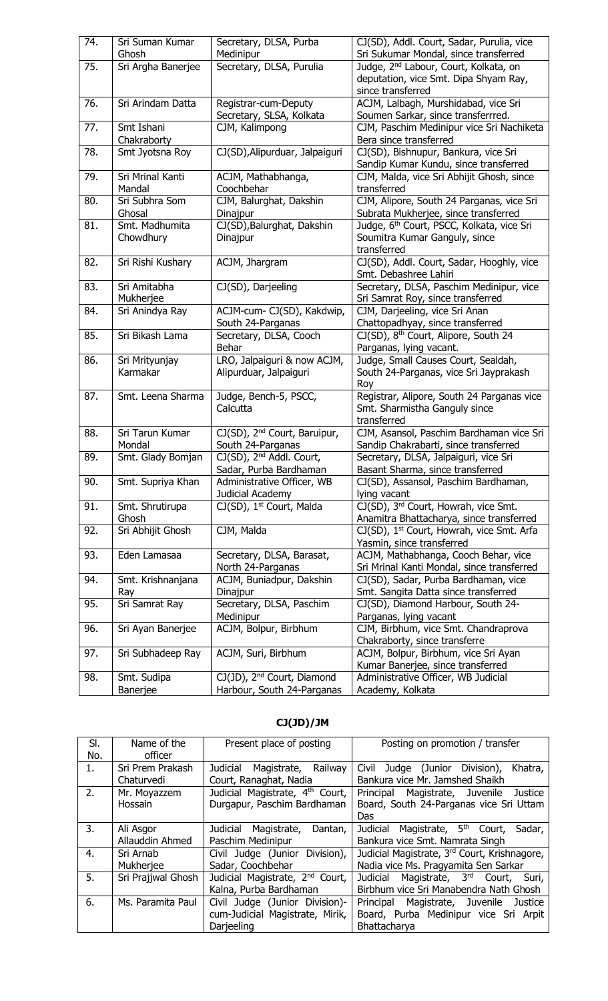| 74. | Sri Suman Kumar<br>Ghosh    | Secretary, DLSA, Purba<br>Medinipur                                  | CJ(SD), Addl. Court, Sadar, Purulia, vice<br>Sri Sukumar Mondal, since transferred                              |
|-----|-----------------------------|----------------------------------------------------------------------|-----------------------------------------------------------------------------------------------------------------|
| 75. | Sri Argha Banerjee          | Secretary, DLSA, Purulia                                             | Judge, 2 <sup>nd</sup> Labour, Court, Kolkata, on<br>deputation, vice Smt. Dipa Shyam Ray,<br>since transferred |
| 76. | Sri Arindam Datta           | Registrar-cum-Deputy<br>Secretary, SLSA, Kolkata                     | ACJM, Lalbagh, Murshidabad, vice Sri<br>Soumen Sarkar, since transferrred.                                      |
| 77. | Smt Ishani<br>Chakraborty   | CJM, Kalimpong                                                       | CJM, Paschim Medinipur vice Sri Nachiketa<br>Bera since transferred                                             |
| 78. | Smt Jyotsna Roy             | CJ(SD), Alipurduar, Jalpaiguri                                       | CJ(SD), Bishnupur, Bankura, vice Sri<br>Sandip Kumar Kundu, since transferred                                   |
| 79. | Sri Mrinal Kanti<br>Mandal  | ACJM, Mathabhanga,<br>Coochbehar                                     | CJM, Malda, vice Sri Abhijit Ghosh, since<br>transferred                                                        |
| 80. | Sri Subhra Som<br>Ghosal    | CJM, Balurghat, Dakshin<br>Dinajpur                                  | CJM, Alipore, South 24 Parganas, vice Sri<br>Subrata Mukherjee, since transferred                               |
| 81. | Smt. Madhumita<br>Chowdhury | CJ(SD), Balurghat, Dakshin<br>Dinajpur                               | Judge, 6 <sup>th</sup> Court, PSCC, Kolkata, vice Sri<br>Soumitra Kumar Ganguly, since<br>transferred           |
| 82. | Sri Rishi Kushary           | ACJM, Jhargram                                                       | CJ(SD), Addl. Court, Sadar, Hooghly, vice<br>Smt. Debashree Lahiri                                              |
| 83. | Sri Amitabha<br>Mukherjee   | CJ(SD), Darjeeling                                                   | Secretary, DLSA, Paschim Medinipur, vice<br>Sri Samrat Roy, since transferred                                   |
| 84. | Sri Anindya Ray             | ACJM-cum- CJ(SD), Kakdwip,<br>South 24-Parganas                      | CJM, Darjeeling, vice Sri Anan<br>Chattopadhyay, since transferred                                              |
| 85. | Sri Bikash Lama             | Secretary, DLSA, Cooch<br>Behar                                      | CJ(SD), 8 <sup>th</sup> Court, Alipore, South 24<br>Parganas, lying vacant.                                     |
| 86. | Sri Mrityunjay<br>Karmakar  | LRO, Jalpaiguri & now ACJM,<br>Alipurduar, Jalpaiguri                | Judge, Small Causes Court, Sealdah,<br>South 24-Parganas, vice Sri Jayprakash<br>Roy                            |
| 87. | Smt. Leena Sharma           | Judge, Bench-5, PSCC,<br>Calcutta                                    | Registrar, Alipore, South 24 Parganas vice<br>Smt. Sharmistha Ganguly since<br>transferred                      |
| 88. | Sri Tarun Kumar<br>Mondal   | CJ(SD), 2 <sup>nd</sup> Court, Baruipur,<br>South 24-Parganas        | CJM, Asansol, Paschim Bardhaman vice Sri<br>Sandip Chakrabarti, since transferred                               |
| 89. | Smt. Glady Bomjan           | CJ(SD), 2 <sup>nd</sup> Addl. Court,<br>Sadar, Purba Bardhaman       | Secretary, DLSA, Jalpaiguri, vice Sri<br>Basant Sharma, since transferred                                       |
| 90. | Smt. Supriya Khan           | Administrative Officer, WB<br>Judicial Academy                       | CJ(SD), Assansol, Paschim Bardhaman,<br>lying vacant                                                            |
| 91. | Smt. Shrutirupa<br>Ghosh    | CJ(SD), 1 <sup>st</sup> Court, Malda                                 | CJ(SD), 3 <sup>rd</sup> Court, Howrah, vice Smt.<br>Anamitra Bhattacharya, since transferred                    |
| 92. | Sri Abhijit Ghosh           | CJM, Malda                                                           | CJ(SD), 1 <sup>st</sup> Court, Howrah, vice Smt. Arfa<br>Yasmin, since transferred                              |
| 93. | Eden Lamasaa                | Secretary, DLSA, Barasat,<br>North 24-Parganas                       | ACJM, Mathabhanga, Cooch Behar, vice<br>Sri Mrinal Kanti Mondal, since transferred                              |
| 94. | Smt. Krishnanjana<br>Ray    | ACJM, Buniadpur, Dakshin<br>Dinajpur                                 | CJ(SD), Sadar, Purba Bardhaman, vice<br>Smt. Sangita Datta since transferred                                    |
| 95. | Sri Samrat Ray              | Secretary, DLSA, Paschim<br>Medinipur                                | CJ(SD), Diamond Harbour, South 24-<br>Parganas, lying vacant                                                    |
| 96. | Sri Ayan Banerjee           | ACJM, Bolpur, Birbhum                                                | CJM, Birbhum, vice Smt. Chandraprova<br>Chakraborty, since transferre                                           |
| 97. | Sri Subhadeep Ray           | ACJM, Suri, Birbhum                                                  | ACJM, Bolpur, Birbhum, vice Sri Ayan<br>Kumar Banerjee, since transferred                                       |
| 98. | Smt. Sudipa<br>Banerjee     | CJ(JD), 2 <sup>nd</sup> Court, Diamond<br>Harbour, South 24-Parganas | Administrative Officer, WB Judicial<br>Academy, Kolkata                                                         |

# **CJ(JD)/JM**

| SI. | Name of the        | Present place of posting                    | Posting on promotion / transfer                          |
|-----|--------------------|---------------------------------------------|----------------------------------------------------------|
| No. | officer            |                                             |                                                          |
| 1.  | Sri Prem Prakash   | Judicial<br>Magistrate,<br>Railway          | Civil<br>Judge (Junior Division),<br>Khatra,             |
|     | Chaturvedi         | Court, Ranaghat, Nadia                      | Bankura vice Mr. Jamshed Shaikh                          |
| 2.  | Mr. Moyazzem       | Judicial Magistrate, 4 <sup>th</sup> Court, | Magistrate, Juvenile Justice<br>Principal                |
|     | <b>Hossain</b>     | Durgapur, Paschim Bardhaman                 | Board, South 24-Parganas vice Sri Uttam                  |
|     |                    |                                             | Das                                                      |
| 3.  | Ali Asgor          | Judicial<br>Magistrate,<br>Dantan,          | Magistrate, 5 <sup>th</sup> Court,<br>Judicial<br>Sadar, |
|     | Allauddin Ahmed    | Paschim Medinipur                           | Bankura vice Smt. Namrata Singh                          |
| 4.  | Sri Arnab          | Civil Judge (Junior Division),              | Judicial Magistrate, 3 <sup>rd</sup> Court, Krishnagore, |
|     | Mukheriee          | Sadar, Coochbehar                           | Nadia vice Ms. Pragyamita Sen Sarkar                     |
| 5.  | Sri Prajjwal Ghosh | Judicial Magistrate, 2 <sup>nd</sup> Court, | Magistrate, 3rd Court,<br>Judicial<br>Suri,              |
|     |                    | Kalna, Purba Bardhaman                      | Birbhum vice Sri Manabendra Nath Ghosh                   |
| 6.  | Ms. Paramita Paul  | Civil Judge (Junior Division)-              | Magistrate, Juvenile Justice<br>Principal                |
|     |                    | cum-Judicial Magistrate, Mirik,             | Board, Purba Medinipur vice Sri Arpit                    |
|     |                    | Darieeling                                  | Bhattacharya                                             |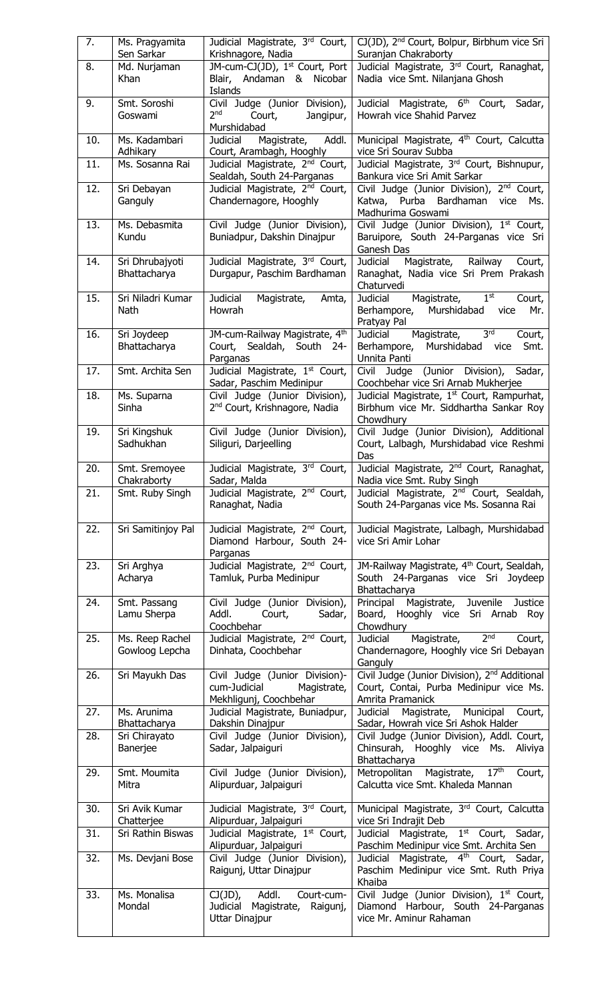| 7.  | Ms. Pragyamita<br>Sen Sarkar      | Judicial Magistrate, 3rd Court,<br>Krishnagore, Nadia                                   | CJ(JD), 2 <sup>nd</sup> Court, Bolpur, Birbhum vice Sri<br>Suranjan Chakraborty                                          |
|-----|-----------------------------------|-----------------------------------------------------------------------------------------|--------------------------------------------------------------------------------------------------------------------------|
| 8.  | Md. Nurjaman<br>Khan              | JM-cum-CJ(JD), 1st Court, Port<br>Blair, Andaman & Nicobar<br>Islands                   | Judicial Magistrate, 3rd Court, Ranaghat,<br>Nadia vice Smt. Nilanjana Ghosh                                             |
| 9.  | Smt. Soroshi<br>Goswami           | Civil Judge (Junior Division),<br>2 <sub>nd</sub><br>Court,<br>Jangipur,<br>Murshidabad | Judicial Magistrate, 6 <sup>th</sup> Court, Sadar,<br>Howrah vice Shahid Parvez                                          |
| 10. | Ms. Kadambari<br>Adhikary         | Magistrate, Addl.<br>Judicial<br>Court, Arambagh, Hooghly                               | Municipal Magistrate, 4 <sup>th</sup> Court, Calcutta<br>vice Sri Sourav Subba                                           |
| 11. | Ms. Sosanna Rai                   | Judicial Magistrate, 2 <sup>nd</sup> Court,<br>Sealdah, South 24-Parganas               | Judicial Magistrate, 3 <sup>rd</sup> Court, Bishnupur,<br>Bankura vice Sri Amit Sarkar                                   |
| 12. | Sri Debayan<br>Ganguly            | Judicial Magistrate, 2 <sup>nd</sup> Court,<br>Chandernagore, Hooghly                   | Civil Judge (Junior Division), 2 <sup>nd</sup> Court,<br>Katwa, Purba Bardhaman vice<br>Ms.<br>Madhurima Goswami         |
| 13. | Ms. Debasmita<br>Kundu            | Civil Judge (Junior Division),<br>Buniadpur, Dakshin Dinajpur                           | Civil Judge (Junior Division), 1 <sup>st</sup> Court,<br>Baruipore, South 24-Parganas vice Sri<br>Ganesh Das             |
| 14. | Sri Dhrubajyoti<br>Bhattacharya   | Judicial Magistrate, 3rd Court,<br>Durgapur, Paschim Bardhaman                          | Magistrate, Railway<br>Judicial<br>Court,<br>Ranaghat, Nadia vice Sri Prem Prakash<br>Chaturvedi                         |
| 15. | Sri Niladri Kumar<br>Nath         | Judicial<br>Magistrate,<br>Amta,<br>Howrah                                              | 1 <sup>st</sup><br>Magistrate,<br>Judicial<br>Court,<br>Berhampore,<br>Murshidabad vice<br>Mr.<br>Pratyay Pal            |
| 16. | Sri Joydeep<br>Bhattacharya       | JM-cum-Railway Magistrate, 4th<br>Court, Sealdah, South 24-<br>Parganas                 | Magistrate, 3rd<br>Judicial<br>Court,<br>Murshidabad vice<br>Berhampore,<br>Smt.<br>Unnita Panti                         |
| 17. | Smt. Archita Sen                  | Judicial Magistrate, 1 <sup>st</sup> Court,<br>Sadar, Paschim Medinipur                 | Civil Judge (Junior Division), Sadar,<br>Coochbehar vice Sri Arnab Mukherjee                                             |
| 18. | Ms. Suparna<br>Sinha              | Civil Judge (Junior Division),<br>2 <sup>nd</sup> Court, Krishnagore, Nadia             | Judicial Magistrate, 1 <sup>st</sup> Court, Rampurhat,<br>Birbhum vice Mr. Siddhartha Sankar Roy<br>Chowdhury            |
| 19. | Sri Kingshuk<br>Sadhukhan         | Civil Judge (Junior Division),<br>Siliguri, Darjeelling                                 | Civil Judge (Junior Division), Additional<br>Court, Lalbagh, Murshidabad vice Reshmi<br>Das                              |
| 20. | Smt. Sremoyee<br>Chakraborty      | Judicial Magistrate, 3rd Court,<br>Sadar, Malda                                         | Judicial Magistrate, 2 <sup>nd</sup> Court, Ranaghat,<br>Nadia vice Smt. Ruby Singh                                      |
| 21. | Smt. Ruby Singh                   | Judicial Magistrate, 2 <sup>nd</sup> Court,<br>Ranaghat, Nadia                          | Judicial Magistrate, 2 <sup>nd</sup> Court, Sealdah,<br>South 24-Parganas vice Ms. Sosanna Rai                           |
| 22. | Sri Samitinjoy Pal                | Judicial Magistrate, 2 <sup>nd</sup> Court,<br>Diamond Harbour, South 24-<br>Parganas   | Judicial Magistrate, Lalbagh, Murshidabad<br>vice Sri Amir Lohar                                                         |
| 23. | Sri Arghya<br>Acharya             | Judicial Magistrate, 2 <sup>nd</sup> Court,<br>Tamluk, Purba Medinipur                  | JM-Railway Magistrate, 4 <sup>th</sup> Court, Sealdah,<br>South 24-Parganas vice Sri Joydeep<br>Bhattacharya             |
| 24. | Smt. Passang<br>Lamu Sherpa       | Civil Judge (Junior Division),<br>Addl.<br>Court,<br>Sadar,<br>Coochbehar               | Magistrate, Juvenile Justice<br>Principal<br>Board, Hooghly vice Sri Arnab Roy<br>Chowdhury                              |
| 25. | Ms. Reep Rachel<br>Gowloog Lepcha | Judicial Magistrate, 2 <sup>nd</sup> Court,<br>Dinhata, Coochbehar                      | 2 <sup>nd</sup><br>Magistrate,<br><b>Judicial</b><br>Court,<br>Chandernagore, Hooghly vice Sri Debayan<br>Ganguly        |
| 26. | Sri Mayukh Das                    | Civil Judge (Junior Division)-<br>cum-Judicial<br>Magistrate,<br>Mekhligunj, Coochbehar | Civil Judge (Junior Division), 2 <sup>nd</sup> Additional<br>Court, Contai, Purba Medinipur vice Ms.<br>Amrita Pramanick |
| 27. | Ms. Arunima<br>Bhattacharya       | Judicial Magistrate, Buniadpur,<br>Dakshin Dinajpur                                     | Judicial Magistrate, Municipal<br>Court,<br>Sadar, Howrah vice Sri Ashok Halder                                          |
| 28. | Sri Chirayato<br>Banerjee         | Civil Judge (Junior Division),<br>Sadar, Jalpaiguri                                     | Civil Judge (Junior Division), Addl. Court,<br>Chinsurah, Hooghly vice Ms.<br>Aliviya<br>Bhattacharya                    |
| 29. | Smt. Moumita<br>Mitra             | Civil Judge (Junior Division),<br>Alipurduar, Jalpaiguri                                | Magistrate, 17th<br>Metropolitan<br>Court,<br>Calcutta vice Smt. Khaleda Mannan                                          |
| 30. | Sri Avik Kumar<br>Chatterjee      | Judicial Magistrate, 3rd Court,<br>Alipurduar, Jalpaiguri                               | Municipal Magistrate, 3rd Court, Calcutta<br>vice Sri Indrajit Deb                                                       |
| 31. | Sri Rathin Biswas                 | Judicial Magistrate, 1st Court,<br>Alipurduar, Jalpaiguri                               | Judicial Magistrate, 1 <sup>st</sup> Court, Sadar,<br>Paschim Medinipur vice Smt. Archita Sen                            |
| 32. | Ms. Devjani Bose                  | Civil Judge (Junior Division),<br>Raigunj, Uttar Dinajpur                               | Judicial Magistrate, 4 <sup>th</sup> Court, Sadar,<br>Paschim Medinipur vice Smt. Ruth Priya                             |
| 33. | Ms. Monalisa                      | $CJ(JD)$ , Addl.<br>Court-cum-                                                          | Khaiba<br>Civil Judge (Junior Division), 1 <sup>st</sup> Court,                                                          |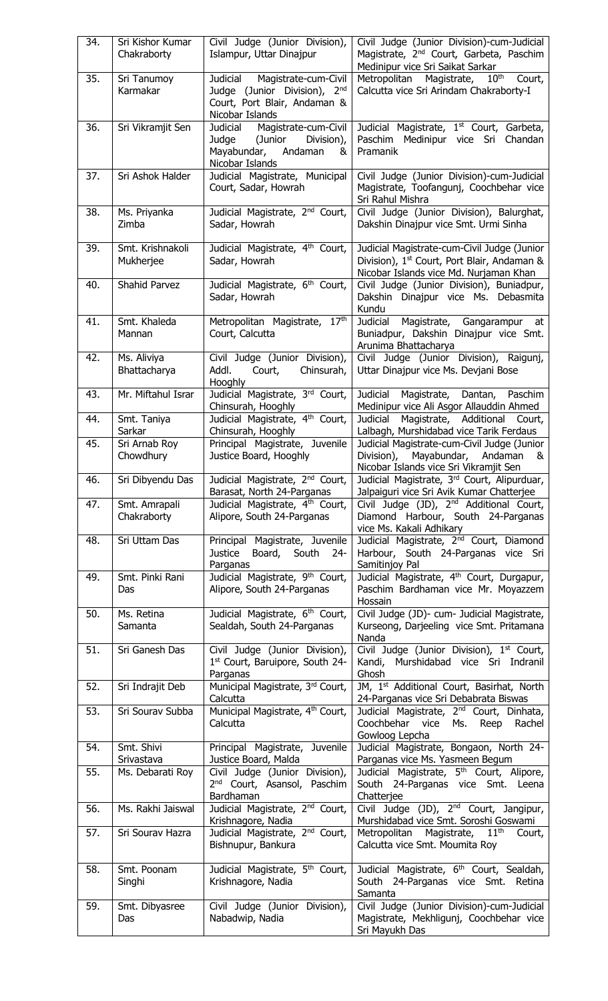| 34. | Sri Kishor Kumar<br>Chakraborty | Civil Judge (Junior Division),<br>Islampur, Uttar Dinajpur                                                       | Civil Judge (Junior Division)-cum-Judicial<br>Magistrate, 2 <sup>nd</sup> Court, Garbeta, Paschim<br>Medinipur vice Sri Saikat Sarkar            |
|-----|---------------------------------|------------------------------------------------------------------------------------------------------------------|--------------------------------------------------------------------------------------------------------------------------------------------------|
| 35. | Sri Tanumoy<br>Karmakar         | Judicial Magistrate-cum-Civil<br>Judge (Junior Division), 2nd<br>Court, Port Blair, Andaman &<br>Nicobar Islands | $10^{\text{th}}$<br>Metropolitan<br>Magistrate,<br>Court,<br>Calcutta vice Sri Arindam Chakraborty-I                                             |
| 36. | Sri Vikramjit Sen               | Judicial Magistrate-cum-Civil<br>Judge (Junior<br>Division),<br>Mayabundar, Andaman<br>&<br>Nicobar Islands      | Judicial Magistrate, 1 <sup>st</sup> Court, Garbeta,<br>Paschim Medinipur vice Sri Chandan<br>Pramanik                                           |
| 37. | Sri Ashok Halder                | Judicial Magistrate, Municipal<br>Court, Sadar, Howrah                                                           | Civil Judge (Junior Division)-cum-Judicial<br>Magistrate, Toofangunj, Coochbehar vice<br>Sri Rahul Mishra                                        |
| 38. | Ms. Priyanka<br>Zimba           | Judicial Magistrate, 2 <sup>nd</sup> Court,<br>Sadar, Howrah                                                     | Civil Judge (Junior Division), Balurghat,<br>Dakshin Dinajpur vice Smt. Urmi Sinha                                                               |
| 39. | Smt. Krishnakoli<br>Mukherjee   | Judicial Magistrate, 4 <sup>th</sup> Court,<br>Sadar, Howrah                                                     | Judicial Magistrate-cum-Civil Judge (Junior<br>Division), 1 <sup>st</sup> Court, Port Blair, Andaman &<br>Nicobar Islands vice Md. Nurjaman Khan |
| 40. | Shahid Parvez                   | Judicial Magistrate, 6 <sup>th</sup> Court,<br>Sadar, Howrah                                                     | Civil Judge (Junior Division), Buniadpur,<br>Dakshin Dinajpur vice Ms. Debasmita<br>Kundu                                                        |
| 41. | Smt. Khaleda<br>Mannan          | Metropolitan Magistrate, 17th<br>Court, Calcutta                                                                 | Judicial Magistrate, Gangarampur<br>at<br>Buniadpur, Dakshin Dinajpur vice Smt.<br>Arunima Bhattacharya                                          |
| 42. | Ms. Aliviya<br>Bhattacharya     | Civil Judge (Junior Division),<br>Addl.<br>Court,<br>Chinsurah,<br><b>Hooghly</b>                                | Civil Judge (Junior Division), Raigunj,<br>Uttar Dinajpur vice Ms. Devjani Bose                                                                  |
| 43. | Mr. Miftahul Israr              | Judicial Magistrate, 3rd Court,<br>Chinsurah, Hooghly                                                            | <b>Judicial</b><br>Magistrate, Dantan, Paschim<br>Medinipur vice Ali Asgor Allauddin Ahmed                                                       |
| 44. | Smt. Taniya<br>Sarkar           | Judicial Magistrate, 4 <sup>th</sup> Court,<br>Chinsurah, Hooghly                                                | <b>Judicial</b><br>Magistrate, Additional<br>Court,<br>Lalbagh, Murshidabad vice Tarik Ferdaus                                                   |
| 45. | Sri Arnab Roy<br>Chowdhury      | Principal Magistrate, Juvenile<br>Justice Board, Hooghly                                                         | Judicial Magistrate-cum-Civil Judge (Junior<br>Division), Mayabundar, Andaman<br>&<br>Nicobar Islands vice Sri Vikramjit Sen                     |
| 46. | Sri Dibyendu Das                | Judicial Magistrate, 2 <sup>nd</sup> Court,<br>Barasat, North 24-Parganas                                        | Judicial Magistrate, 3rd Court, Alipurduar,<br>Jalpaiguri vice Sri Avik Kumar Chatterjee                                                         |
| 47. | Smt. Amrapali<br>Chakraborty    | Judicial Magistrate, 4 <sup>th</sup> Court,<br>Alipore, South 24-Parganas                                        | Civil Judge (JD), 2 <sup>nd</sup> Additional Court,<br>Diamond Harbour, South 24-Parganas<br>vice Ms. Kakali Adhikary                            |
| 48. | Sri Uttam Das                   | Principal Magistrate, Juvenile<br>Board, South<br>Justice<br>24-<br>Parganas                                     | Judicial Magistrate, 2 <sup>nd</sup> Court, Diamond<br>Harbour, South 24-Parganas vice Sri<br>Samitinjoy Pal                                     |
| 49. | Smt. Pinki Rani<br>Das          | Judicial Magistrate, 9 <sup>th</sup> Court,<br>Alipore, South 24-Parganas                                        | Judicial Magistrate, 4 <sup>th</sup> Court, Durgapur,<br>Paschim Bardhaman vice Mr. Moyazzem<br>Hossain                                          |
| 50. | Ms. Retina<br>Samanta           | Judicial Magistrate, 6 <sup>th</sup> Court,<br>Sealdah, South 24-Parganas                                        | Civil Judge (JD)- cum- Judicial Magistrate,<br>Kurseong, Darjeeling vice Smt. Pritamana<br>Nanda                                                 |
| 51. | Sri Ganesh Das                  | Civil Judge (Junior Division),<br>1st Court, Baruipore, South 24-<br>Parganas                                    | Civil Judge (Junior Division), 1 <sup>st</sup> Court,<br>Kandi, Murshidabad vice Sri Indranil<br>Ghosh                                           |
| 52. | Sri Indrajit Deb                | Municipal Magistrate, 3rd Court,<br>Calcutta                                                                     | JM, 1 <sup>st</sup> Additional Court, Basirhat, North<br>24-Parganas vice Sri Debabrata Biswas                                                   |
| 53. | Sri Sourav Subba                | Municipal Magistrate, 4 <sup>th</sup> Court,<br>Calcutta                                                         | Judicial Magistrate, 2 <sup>nd</sup> Court, Dinhata,<br>Coochbehar vice<br>Ms.<br>Reep<br>Rachel<br>Gowloog Lepcha                               |
| 54. | Smt. Shivi<br>Srivastava        | Principal Magistrate, Juvenile<br>Justice Board, Malda                                                           | Judicial Magistrate, Bongaon, North 24-<br>Parganas vice Ms. Yasmeen Begum                                                                       |
| 55. | Ms. Debarati Roy                | Civil Judge (Junior Division),<br>2 <sup>nd</sup> Court, Asansol, Paschim<br>Bardhaman                           | Judicial Magistrate, 5 <sup>th</sup> Court, Alipore,<br>South 24-Parganas vice Smt. Leena<br>Chatterjee                                          |
| 56. | Ms. Rakhi Jaiswal               | Judicial Magistrate, 2 <sup>nd</sup> Court,<br>Krishnagore, Nadia                                                | Civil Judge (JD), 2 <sup>nd</sup> Court, Jangipur,<br>Murshidabad vice Smt. Soroshi Goswami                                                      |
| 57. | Sri Sourav Hazra                | Judicial Magistrate, 2 <sup>nd</sup> Court,<br>Bishnupur, Bankura                                                | Magistrate, 11 <sup>th</sup><br>Metropolitan<br>Court,<br>Calcutta vice Smt. Moumita Roy                                                         |
| 58. | Smt. Poonam<br>Singhi           | Judicial Magistrate, 5 <sup>th</sup> Court,<br>Krishnagore, Nadia                                                | Judicial Magistrate, 6 <sup>th</sup> Court, Sealdah,<br>South 24-Parganas vice Smt. Retina<br>Samanta                                            |
| 59. | Smt. Dibyasree<br>Das           | Civil Judge (Junior Division),<br>Nabadwip, Nadia                                                                | Civil Judge (Junior Division)-cum-Judicial<br>Magistrate, Mekhligunj, Coochbehar vice<br>Sri Mayukh Das                                          |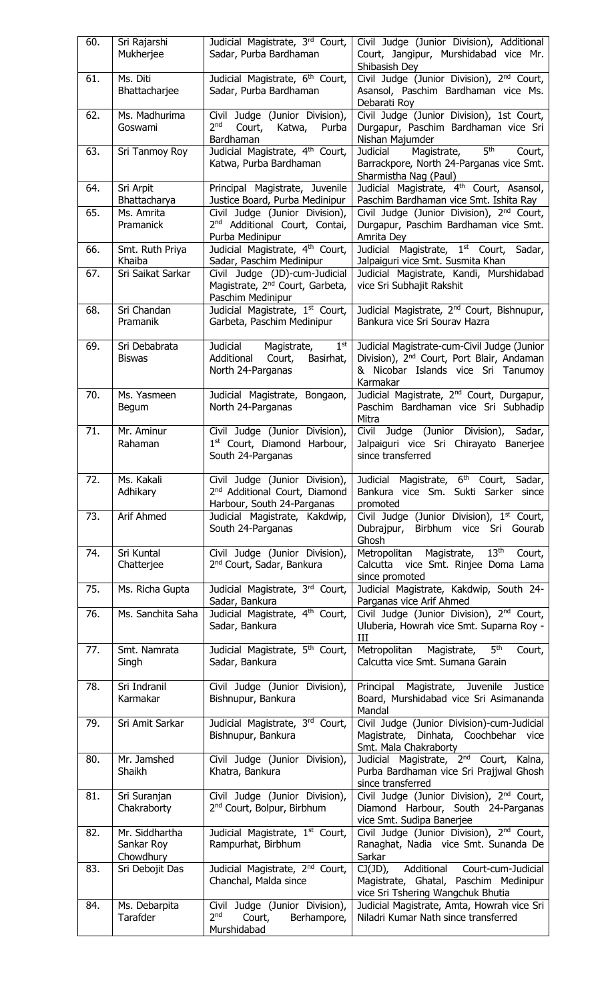| 60. | Sri Rajarshi      | Judicial Magistrate, 3rd Court,                         | Civil Judge (Junior Division), Additional                                         |
|-----|-------------------|---------------------------------------------------------|-----------------------------------------------------------------------------------|
|     | Mukherjee         | Sadar, Purba Bardhaman                                  | Court, Jangipur, Murshidabad vice Mr.                                             |
|     |                   |                                                         | Shibasish Dey                                                                     |
| 61. | Ms. Diti          | Judicial Magistrate, 6 <sup>th</sup> Court,             | Civil Judge (Junior Division), 2nd Court,                                         |
|     | Bhattacharjee     | Sadar, Purba Bardhaman                                  | Asansol, Paschim Bardhaman vice Ms.                                               |
|     |                   |                                                         | Debarati Roy                                                                      |
| 62. | Ms. Madhurima     | Civil Judge (Junior Division),                          | Civil Judge (Junior Division), 1st Court,                                         |
|     | Goswami           | 2 <sub>nd</sub><br>Court,<br>Katwa,<br>Purba            | Durgapur, Paschim Bardhaman vice Sri                                              |
|     |                   | Bardhaman                                               | Nishan Majumder                                                                   |
| 63. | Sri Tanmoy Roy    | Judicial Magistrate, 4th Court,                         | 5 <sup>th</sup><br>Magistrate,<br>Judicial<br>Court,                              |
|     |                   | Katwa, Purba Bardhaman                                  | Barrackpore, North 24-Parganas vice Smt.                                          |
|     |                   |                                                         | Sharmistha Nag (Paul)                                                             |
| 64. | Sri Arpit         | Principal Magistrate, Juvenile                          | Judicial Magistrate, 4 <sup>th</sup> Court, Asansol,                              |
|     | Bhattacharya      | Justice Board, Purba Medinipur                          | Paschim Bardhaman vice Smt. Ishita Ray                                            |
| 65. | Ms. Amrita        | Civil Judge (Junior Division),                          | Civil Judge (Junior Division), 2 <sup>nd</sup> Court,                             |
|     | Pramanick         | 2 <sup>nd</sup> Additional Court, Contai,               | Durgapur, Paschim Bardhaman vice Smt.                                             |
|     |                   | Purba Medinipur                                         | Amrita Dey                                                                        |
| 66. | Smt. Ruth Priya   | Judicial Magistrate, 4th Court,                         | Judicial Magistrate, 1 <sup>st</sup> Court,<br>Sadar,                             |
|     | Khaiba            | Sadar, Paschim Medinipur                                | Jalpaiguri vice Smt. Susmita Khan                                                 |
| 67. | Sri Saikat Sarkar | Civil Judge (JD)-cum-Judicial                           | Judicial Magistrate, Kandi, Murshidabad                                           |
|     |                   | Magistrate, 2 <sup>nd</sup> Court, Garbeta,             | vice Sri Subhajit Rakshit                                                         |
|     |                   | Paschim Medinipur                                       |                                                                                   |
| 68. | Sri Chandan       | Judicial Magistrate, 1st Court,                         | Judicial Magistrate, 2 <sup>nd</sup> Court, Bishnupur,                            |
|     | Pramanik          | Garbeta, Paschim Medinipur                              | Bankura vice Sri Sourav Hazra                                                     |
|     |                   |                                                         |                                                                                   |
| 69. | Sri Debabrata     | Judicial Magistrate,<br>$1^{\rm st}$                    | Judicial Magistrate-cum-Civil Judge (Junior                                       |
|     | <b>Biswas</b>     | Additional<br>Court,<br>Basirhat,                       | Division), 2 <sup>nd</sup> Court, Port Blair, Andaman                             |
|     |                   | North 24-Parganas                                       | & Nicobar Islands vice Sri Tanumoy                                                |
|     |                   |                                                         | Karmakar                                                                          |
| 70. | Ms. Yasmeen       | Judicial Magistrate, Bongaon,                           | Judicial Magistrate, 2 <sup>nd</sup> Court, Durgapur,                             |
|     | Begum             | North 24-Parganas                                       | Paschim Bardhaman vice Sri Subhadip                                               |
|     |                   |                                                         | Mitra                                                                             |
| 71. | Mr. Aminur        | Civil Judge (Junior Division),                          | Civil Judge (Junior Division), Sadar,                                             |
|     | Rahaman           | 1st Court, Diamond Harbour,                             | Jalpaiguri vice Sri Chirayato Banerjee                                            |
|     |                   | South 24-Parganas                                       | since transferred                                                                 |
| 72. | Ms. Kakali        |                                                         | Civil Judge (Junior Division), Judicial Magistrate, 6 <sup>th</sup> Court, Sadar, |
|     | Adhikary          | 2 <sup>nd</sup> Additional Court, Diamond               | Bankura vice Sm. Sukti Sarker since                                               |
|     |                   | Harbour, South 24-Parganas                              | promoted                                                                          |
| 73. | Arif Ahmed        | Judicial Magistrate, Kakdwip,                           | Civil Judge (Junior Division), 1st Court,                                         |
|     |                   | South 24-Parganas                                       | Birbhum vice Sri Gourab<br>Dubrajpur,                                             |
|     |                   |                                                         | Ghosh                                                                             |
| 74. | Sri Kuntal        | Civil Judge (Junior Division),                          | 13 <sup>th</sup><br>Metropolitan Magistrate,<br>Court,                            |
|     | Chatterjee        | 2 <sup>nd</sup> Court, Sadar, Bankura                   | vice Smt. Rinjee Doma Lama<br>Calcutta                                            |
|     |                   |                                                         | since promoted                                                                    |
| 75. | Ms. Richa Gupta   | Judicial Magistrate, 3rd Court,                         | Judicial Magistrate, Kakdwip, South 24-                                           |
|     |                   | Sadar, Bankura                                          | Parganas vice Arif Ahmed                                                          |
| 76. | Ms. Sanchita Saha | Judicial Magistrate, 4th Court,                         | Civil Judge (Junior Division), 2 <sup>nd</sup> Court,                             |
|     |                   | Sadar, Bankura                                          | Uluberia, Howrah vice Smt. Suparna Roy -                                          |
|     |                   |                                                         | Ш                                                                                 |
| 77. | Smt. Namrata      | Judicial Magistrate, 5 <sup>th</sup> Court,             | 5 <sup>th</sup><br>Metropolitan Magistrate,<br>Court,                             |
|     | Singh             | Sadar, Bankura                                          | Calcutta vice Smt. Sumana Garain                                                  |
|     |                   |                                                         |                                                                                   |
| 78. | Sri Indranil      | Civil Judge (Junior Division),                          | Principal Magistrate, Juvenile Justice                                            |
|     | Karmakar          | Bishnupur, Bankura                                      | Board, Murshidabad vice Sri Asimananda                                            |
|     |                   |                                                         | Mandal                                                                            |
| 79. | Sri Amit Sarkar   | Judicial Magistrate, 3rd Court,                         | Civil Judge (Junior Division)-cum-Judicial                                        |
|     |                   | Bishnupur, Bankura                                      | Magistrate, Dinhata, Coochbehar vice                                              |
|     |                   |                                                         | Smt. Mala Chakraborty                                                             |
| 80. | Mr. Jamshed       | Civil Judge (Junior Division),                          | Judicial Magistrate, 2 <sup>nd</sup> Court, Kalna,                                |
|     | Shaikh            | Khatra, Bankura                                         | Purba Bardhaman vice Sri Prajjwal Ghosh                                           |
|     |                   |                                                         | since transferred                                                                 |
| 81. | Sri Suranjan      | Civil Judge (Junior Division),                          | Civil Judge (Junior Division), 2 <sup>nd</sup> Court,                             |
|     | Chakraborty       | 2 <sup>nd</sup> Court, Bolpur, Birbhum                  | Diamond Harbour, South 24-Parganas                                                |
|     |                   |                                                         | vice Smt. Sudipa Banerjee                                                         |
| 82. | Mr. Siddhartha    | Judicial Magistrate, 1st Court,                         | Civil Judge (Junior Division), 2 <sup>nd</sup> Court,                             |
|     | Sankar Roy        | Rampurhat, Birbhum                                      | Ranaghat, Nadia vice Smt. Sunanda De                                              |
|     | Chowdhury         |                                                         | Sarkar                                                                            |
| 83. | Sri Debojit Das   | Judicial Magistrate, 2 <sup>nd</sup> Court,             | Additional<br>Court-cum-Judicial<br>$CJ(JD)$ ,                                    |
|     |                   |                                                         |                                                                                   |
|     |                   | Chanchal, Malda since                                   | Magistrate, Ghatal, Paschim Medinipur                                             |
|     |                   |                                                         | vice Sri Tshering Wangchuk Bhutia                                                 |
| 84. | Ms. Debarpita     | Civil Judge (Junior Division),                          | Judicial Magistrate, Amta, Howrah vice Sri                                        |
|     | Tarafder          | 2 <sub>nd</sub><br>Court,<br>Berhampore,<br>Murshidabad | Niladri Kumar Nath since transferred                                              |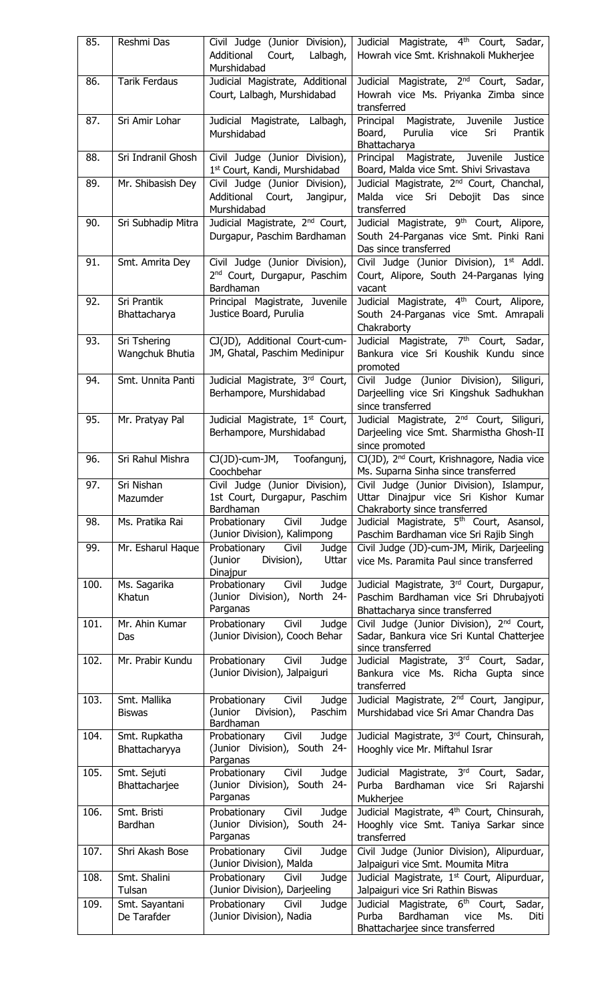| 85.  | Reshmi Das                      | Civil Judge (Junior Division),<br>Additional<br>Court,<br>Lalbagh,<br>Murshidabad       | Judicial Magistrate, 4 <sup>th</sup> Court, Sadar,<br>Howrah vice Smt. Krishnakoli Mukherjee                                          |
|------|---------------------------------|-----------------------------------------------------------------------------------------|---------------------------------------------------------------------------------------------------------------------------------------|
| 86.  | <b>Tarik Ferdaus</b>            | Judicial Magistrate, Additional<br>Court, Lalbagh, Murshidabad                          | Judicial Magistrate, 2 <sup>nd</sup> Court, Sadar,<br>Howrah vice Ms. Priyanka Zimba since<br>transferred                             |
| 87.  | Sri Amir Lohar                  | Judicial Magistrate, Lalbagh,<br>Murshidabad                                            | Principal<br>Magistrate, Juvenile<br><b>Justice</b><br>Purulia<br>Board,<br>Prantik<br>vice<br>Sri<br>Bhattacharya                    |
| 88.  | Sri Indranil Ghosh              | Civil Judge (Junior Division),<br>1st Court, Kandi, Murshidabad                         | Magistrate, Juvenile Justice<br>Principal<br>Board, Malda vice Smt. Shivi Srivastava                                                  |
| 89.  | Mr. Shibasish Dey               | Civil Judge (Junior Division),<br>Additional<br>Court,<br>Jangipur,<br>Murshidabad      | Judicial Magistrate, 2 <sup>nd</sup> Court, Chanchal,<br>Malda<br>vice<br>Sri Debojit<br>Das<br>since<br>transferred                  |
| 90.  | Sri Subhadip Mitra              | Judicial Magistrate, 2 <sup>nd</sup> Court,<br>Durgapur, Paschim Bardhaman              | Judicial Magistrate, 9 <sup>th</sup> Court, Alipore,<br>South 24-Parganas vice Smt. Pinki Rani<br>Das since transferred               |
| 91.  | Smt. Amrita Dey                 | Civil Judge (Junior Division),<br>2 <sup>nd</sup> Court, Durgapur, Paschim<br>Bardhaman | Civil Judge (Junior Division), 1 <sup>st</sup> Addl.<br>Court, Alipore, South 24-Parganas lying<br>vacant                             |
| 92.  | Sri Prantik<br>Bhattacharya     | Principal Magistrate, Juvenile<br>Justice Board, Purulia                                | Judicial Magistrate, 4 <sup>th</sup> Court, Alipore,<br>South 24-Parganas vice Smt. Amrapali<br>Chakraborty                           |
| 93.  | Sri Tshering<br>Wangchuk Bhutia | CJ(JD), Additional Court-cum-<br>JM, Ghatal, Paschim Medinipur                          | Judicial Magistrate, 7 <sup>th</sup> Court, Sadar,<br>Bankura vice Sri Koushik Kundu since<br>promoted                                |
| 94.  | Smt. Unnita Panti               | Judicial Magistrate, 3rd Court,<br>Berhampore, Murshidabad                              | Civil Judge (Junior Division), Siliguri,<br>Darjeelling vice Sri Kingshuk Sadhukhan<br>since transferred                              |
| 95.  | Mr. Pratyay Pal                 | Judicial Magistrate, 1st Court,<br>Berhampore, Murshidabad                              | Judicial Magistrate, 2 <sup>nd</sup> Court, Siliguri,<br>Darjeeling vice Smt. Sharmistha Ghosh-II<br>since promoted                   |
| 96.  | Sri Rahul Mishra                | $CJ(JD)$ -cum-JM,<br>Toofangunj,<br>Coochbehar                                          | CJ(JD), 2 <sup>nd</sup> Court, Krishnagore, Nadia vice<br>Ms. Suparna Sinha since transferred                                         |
| 97.  | Sri Nishan<br>Mazumder          | Civil Judge (Junior Division),<br>1st Court, Durgapur, Paschim<br>Bardhaman             | Civil Judge (Junior Division), Islampur,<br>Uttar Dinajpur vice Sri Kishor Kumar<br>Chakraborty since transferred                     |
| 98.  | Ms. Pratika Rai                 | Civil<br>Judge<br>Probationary<br>(Junior Division), Kalimpong                          | Judicial Magistrate, 5 <sup>th</sup> Court, Asansol,<br>Paschim Bardhaman vice Sri Rajib Singh                                        |
| 99.  | Mr. Esharul Haque               | Civil<br>Probationary<br>Judge<br>(Junior<br>Division),<br>Uttar<br>Dinajpur            | Civil Judge (JD)-cum-JM, Mirik, Darjeeling<br>vice Ms. Paramita Paul since transferred                                                |
| 100. | Ms. Sagarika<br>Khatun          | Probationary<br>Judge<br>Civil<br>(Junior Division), North 24-<br>Parganas              | Judicial Magistrate, 3 <sup>rd</sup> Court, Durgapur,<br>Paschim Bardhaman vice Sri Dhrubajyoti<br>Bhattacharya since transferred     |
| 101. | Mr. Ahin Kumar<br>Das           | Probationary<br>Civil<br>Judge<br>(Junior Division), Cooch Behar                        | Civil Judge (Junior Division), 2 <sup>nd</sup> Court,<br>Sadar, Bankura vice Sri Kuntal Chatterjee<br>since transferred               |
| 102. | Mr. Prabir Kundu                | Probationary Civil<br>Judge<br>(Junior Division), Jalpaiguri                            | Judicial Magistrate, 3rd Court, Sadar,<br>Bankura vice Ms. Richa Gupta<br>since<br>transferred                                        |
| 103. | Smt. Mallika<br><b>Biswas</b>   | Civil<br>Judge<br>Probationary<br>(Junior<br>Paschim<br>Division),<br>Bardhaman         | Judicial Magistrate, 2 <sup>nd</sup> Court, Jangipur,<br>Murshidabad vice Sri Amar Chandra Das                                        |
| 104. | Smt. Rupkatha<br>Bhattacharyya  | Civil<br>Judge<br>Probationary<br>(Junior Division), South 24-<br>Parganas              | Judicial Magistrate, 3rd Court, Chinsurah,<br>Hooghly vice Mr. Miftahul Israr                                                         |
| 105. | Smt. Sejuti<br>Bhattacharjee    | Probationary<br>Civil<br>Judge<br>(Junior Division), South 24-<br>Parganas              | Judicial Magistrate, 3rd Court,<br>Sadar,<br>Purba<br>Bardhaman<br>vice<br>Sri<br>Rajarshi<br>Mukherjee                               |
| 106. | Smt. Bristi<br>Bardhan          | Judge<br>Probationary<br>Civil<br>(Junior Division), South 24-<br>Parganas              | Judicial Magistrate, 4 <sup>th</sup> Court, Chinsurah,<br>Hooghly vice Smt. Taniya Sarkar since<br>transferred                        |
| 107. | Shri Akash Bose                 | Civil<br>Probationary<br>Judge<br>(Junior Division), Malda                              | Civil Judge (Junior Division), Alipurduar,<br>Jalpaiguri vice Smt. Moumita Mitra                                                      |
| 108. | Smt. Shalini<br>Tulsan          | Probationary<br>Civil<br>Judge<br>(Junior Division), Darjeeling                         | Judicial Magistrate, 1 <sup>st</sup> Court, Alipurduar,<br>Jalpaiguri vice Sri Rathin Biswas                                          |
| 109. | Smt. Sayantani<br>De Tarafder   | Probationary<br>Civil<br>Judge<br>(Junior Division), Nadia                              | Judicial Magistrate, 6 <sup>th</sup> Court,<br>Sadar,<br>Purba<br>Bardhaman<br>Ms.<br>vice<br>Diti<br>Bhattacharjee since transferred |